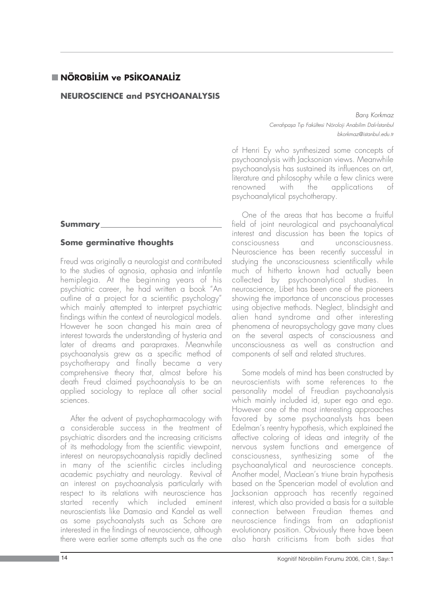# **NÖROBİLİM ve PSİKOANALİZ**

## **NEUROSCIENCE and PSYCHOANALYSIS**

#### **Summary**

#### **Some germinative thoughts**

Freud was originally a neurologist and contributed to the studies of agnosia, aphasia and infantile hemiplegia. At the beginning years of his psychiatric career, he had written a book "An outline of a project for a scientific psychology" which mainly attempted to interpret psychiatric findings within the context of neurological models. However he soon changed his main area of interest towards the understanding of hysteria and later of dreams and parapraxes. Meanwhile psychoanalysis grew as a specific method of psychotherapy and finally became a very comprehensive theory that, almost before his death Freud claimed psychoanalysis to be an applied sociology to replace all other social sciences.

After the advent of psychopharmacology with a considerable success in the treatment of psychiatric disorders and the increasing criticisms of its methodology from the scientific viewpoint, interest on neuropsychoanalysis rapidly declined in many of the scientific circles including academic psychiatry and neurology. Revival of an interest on psychoanalysis particularly with respect to its relations with neuroscience has started recently which included eminent neuroscientists like Damasio and Kandel as well as some psychoanalysts such as Schore are interested in the findings of neuroscience, although there were earlier some attempts such as the one

Barıs Korkmaz Cerrahpasa Tıp Fakültesi Nöroloji Anabilim Dalı-İstanbul bkorkmaz@istanbul.edu.tr

of Henri Ey who synthesized some concepts of psychoanalysis with Jacksonian views. Meanwhile psychoanalysis has sustained its influences on art, literature and philosophy while a few clinics were renowned with the applications of psychoanalytical psychotherapy.

One of the areas that has become a fruitful field of joint neurological and psychoanalytical interest and discussion has been the topics of consciousness and unconsciousness. Neuroscience has been recently successful in studying the unconsciousness scientifically while much of hitherto known had actually been collected by psychoanalytical studies. In neuroscience, Libet has been one of the pioneers showing the importance of unconscious processes using objective methods. Neglect, blindsight and alien hand syndrome and other interesting phenomena of neuropsychology gave many clues on the several aspects of consciousness and unconsciousness as well as construction and components of self and related structures.

Some models of mind has been constructed by neuroscientists with some references to the personality model of Freudian psychoanalysis which mainly included id, super ego and ego. However one of the most interesting approaches favored by some psychoanalysts has been Edelman's reentry hypothesis, which explained the affective coloring of ideas and integrity of the nervous system functions and emergence of consciousness, synthesizing some of the psychoanalytical and neuroscience concepts. Another model, MacLean's triune brain hypothesis based on the Spencerian model of evolution and Jacksonian approach has recently regained interest, which also provided a basis for a suitable connection between Freudian themes and neuroscience findings from an adaptionist evolutionary position. Obviously there have been also harsh criticisms from both sides that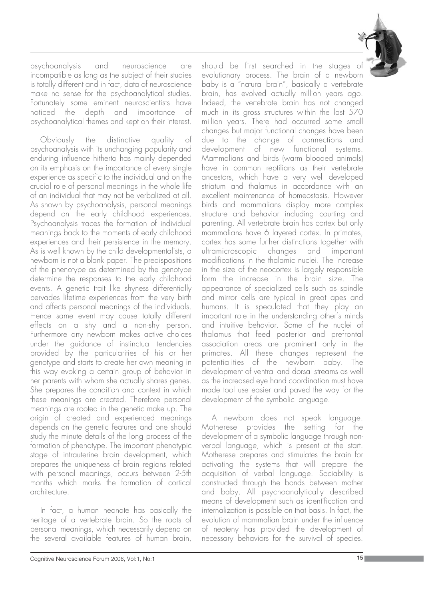

psychoanalysis and neuroscience are incompatible as long as the subject of their studies is totally different and in fact, data of neuroscience make no sense for the psychoanalytical studies. Fortunately some eminent neuroscientists have noticed the depth and importance of psychoanalytical themes and kept on their interest.

Obviously the distinctive quality of psychoanalysis with its unchanging popularity and enduring influence hitherto has mainly depended on its emphasis on the importance of every single experience as specific to the individual and on the crucial role of personal meanings in the whole life of an individual that may not be verbalized at all. As shown by psychoanalysis, personal meanings depend on the early childhood experiences. Psychoanalysis traces the formation of individual meanings back to the moments of early childhood experiences and their persistence in the memory. As is well known by the child developmentalists, a newborn is not a blank paper. The predispositions of the phenotype as determined by the genotype determine the responses to the early childhood events. A genetic trait like shyness differentially pervades lifetime experiences from the very birth and affects personal meanings of the individuals. Hence same event may cause totally different effects on a shy and a non-shy person. Furthermore any newborn makes active choices under the guidance of instinctual tendencies provided by the particularities of his or her genotype and starts to create her own meaning in this way evoking a certain group of behavior in her parents with whom she actually shares genes. She prepares the condition and context in which these meanings are created. Therefore personal meanings are rooted in the genetic make up. The origin of created and experienced meanings depends on the genetic features and one should study the minute details of the long process of the formation of phenotype. The important phenotypic stage of intrauterine brain development, which prepares the uniqueness of brain regions related with personal meanings, occurs between 2-5th months which marks the formation of cortical architecture.

In fact, a human neonate has basically the heritage of a vertebrate brain. So the roots of personal meanings, which necessarily depend on the several available features of human brain,

should be first searched in the stages of evolutionary process. The brain of a newborn baby is a "natural brain", basically a vertebrate brain, has evolved actually million years ago. Indeed, the vertebrate brain has not changed much in its gross structures within the last 570 million years. There had occurred some small changes but major functional changes have been due to the change of connections and development of new functional systems. Mammalians and birds (warm blooded animals) have in common reptilians as their vertebrate ancestors, which have a very well developed striatum and thalamus in accordance with an excellent maintenance of homeostasis. However birds and mammalians display more complex structure and behavior including courting and parenting. All vertebrate brain has cortex but only mammalians have 6 layered cortex. In primates, cortex has some further distinctions together with ultramicroscopic changes and important modifications in the thalamic nuclei. The increase in the size of the neocortex is largely responsible form the increase in the brain size. The appearance of specialized cells such as spindle and mirror cells are typical in great apes and humans. It is speculated that they play an important role in the understanding other's minds and intuitive behavior. Some of the nuclei of thalamus that feed posterior and prefrontal association areas are prominent only in the primates. All these changes represent the potentialities of the newborn baby. The development of ventral and dorsal streams as well as the increased eye hand coordination must have made tool use easier and paved the way for the development of the symbolic language.

A newborn does not speak language. Motherese provides the setting for the development of a symbolic language through nonverbal language, which is present at the start. Motherese prepares and stimulates the brain for activating the systems that will prepare the acquisition of verbal language. Sociability is constructed through the bonds between mother and baby. All psychoanalytically described means of development such as identification and internalization is possible on that basis. In fact, the evolution of mammalian brain under the influence of neoteny has provided the development of necessary behaviors for the survival of species.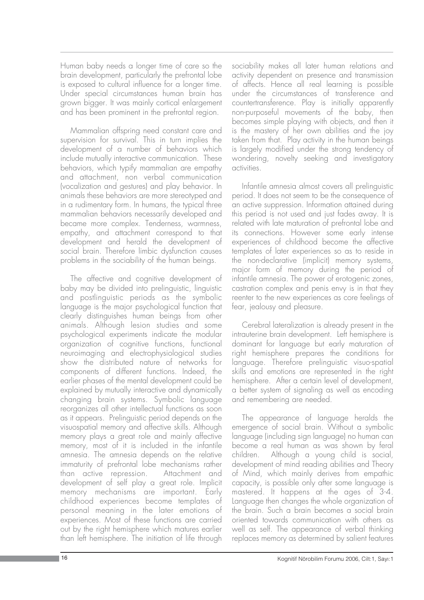Human baby needs a longer time of care so the brain development, particularly the prefrontal lobe is exposed to cultural influence for a longer time. Under special circumstances human brain has grown bigger. It was mainly cortical enlargement and has been prominent in the prefrontal region.

Mammalian offspring need constant care and supervision for survival. This in turn implies the development of a number of behaviors which include mutually interactive communication. These behaviors, which typify mammalian are empathy and attachment, non verbal communication (vocalization and gestures) and play behavior. In animals these behaviors are more stereotyped and in a rudimentary form. In humans, the typical three mammalian behaviors necessarily developed and became more complex. Tenderness, warmness, empathy, and attachment correspond to that development and herald the development of social brain. Therefore limbic dysfunction causes problems in the sociability of the human beings.

The affective and cognitive development of baby may be divided into prelinguistic, linguistic and postlinguistic periods as the symbolic language is the major psychological function that clearly distinguishes human beings from other animals. Although lesion studies and some psychological experiments indicate the modular organization of cognitive functions, functional neuroimaging and electrophysiological studies show the distributed nature of networks for components of different functions. Indeed, the earlier phases of the mental development could be explained by mutually interactive and dynamically changing brain systems. Symbolic language reorganizes all other intellectual functions as soon as it appears. Prelinguistic period depends on the visuospatial memory and affective skills. Although memory plays a great role and mainly affective memory, most of it is included in the infantile amnesia. The amnesia depends on the relative immaturity of prefrontal lobe mechanisms rather than active repression. Attachment and development of self play a great role. Implicit memory mechanisms are important. Early childhood experiences become templates of personal meaning in the later emotions of experiences. Most of these functions are carried out by the right hemisphere which matures earlier than left hemisphere. The initiation of life through

sociability makes all later human relations and activity dependent on presence and transmission of affects. Hence all real learning is possible under the circumstances of transference and countertransference. Play is initially apparently non-purposeful movements of the baby, then becomes simple playing with objects, and then it is the mastery of her own abilities and the joy taken from that. Play activity in the human beings is largely modified under the strong tendency of wondering, novelty seeking and investigatory activities.

Infantile amnesia almost covers all prelinguistic period. It does not seem to be the consequence of an active suppression. Information attained during this period is not used and just fades away. It is related with late maturation of prefrontal lobe and its connections. However some early intense experiences of childhood become the affective templates of later experiences so as to reside in the non-declarative (implicit) memory systems, major form of memory during the period of infantile amnesia. The power of erotogenic zones, castration complex and penis envy is in that they reenter to the new experiences as core feelings of fear, jealousy and pleasure.

Cerebral lateralization is already present in the intrauterine brain development. Left hemisphere is dominant for language but early maturation of right hemisphere prepares the conditions for language. Therefore prelinguistic visuo-spatial skills and emotions are represented in the right hemisphere. After a certain level of development, a better system of signaling as well as encoding and remembering are needed.

The appearance of language heralds the emergence of social brain. Without a symbolic language (including sign language) no human can become a real human as was shown by feral children. Although a young child is social, development of mind reading abilities and Theory of Mind, which mainly derives from empathic capacity, is possible only after some language is mastered. It happens at the ages of 3-4. Language then changes the whole organization of the brain. Such a brain becomes a social brain oriented towards communication with others as well as self. The appearance of verbal thinking replaces memory as determined by salient features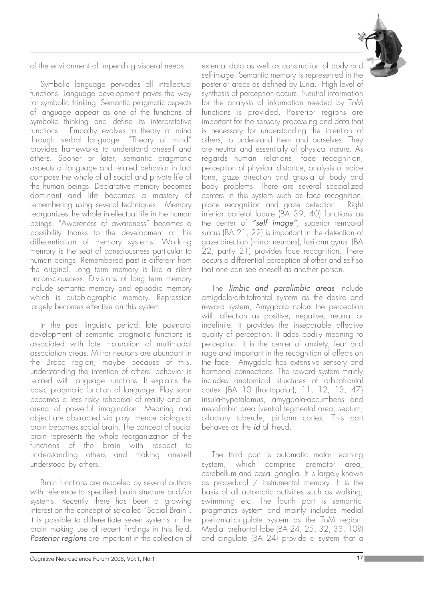of the environment of impending visceral needs.

Symbolic language pervades all intellectual functions. Language development paves the way for symbolic thinking. Semantic pragmatic aspects of language appear as one of the functions of symbolic thinking and define its interpretative functions. Empathy evolves to theory of mind through verbal language. "Theory of mind" provides frameworks to understand oneself and others. Sooner or later, semantic pragmatic aspects of language and related behavior in fact compose the whole of all social and private life of the human beings. Declarative memory becomes dominant and life becomes a mastery of remembering using several techniques. Memory reorganizes the whole intellectual life in the human beings. "Awareness of awareness" becomes a possibility thanks to the development of this differentiation of memory systems. Working memory is the seat of consciousness particular to human beings. Remembered past is different from the original. Long term memory is like a silent unconsciousness. Divisions of long term memory include semantic memory and episodic memory which is autobiographic memory. Repression largely becomes effective on this system.

In the post linguistic period, late postnatal development of semantic pragmatic functions is associated with late maturation of multimodal association areas. Mirror neurons are abundant in the Broca region; maybe because of this, understanding the intention of others' behavior is related with language functions. It explains the basic pragmatic function of language. Play soon becomes a less risky rehearsal of reality and an arena of powerful imagination. Meaning and object are abstracted via play. Hence biological brain becomes social brain. The concept of social brain represents the whole reorganization of the functions of the brain with respect to understanding others and making oneself understood by others.

Brain functions are modeled by several authors with reference to specified brain structure and/or systems. Recently there has been a growing interest on the concept of so-called "Social Brain". It is possible to differentiate seven systems in the brain making use of recent findings in this field. *Posterior regions* are important in the collection of

external data as well as construction of body and self-image. Semantic memory is represented in the posterior areas as defined by Luria. High level of synthesis of perception occurs. Neutral information for the analysis of information needed by ToM functions is provided. Posterior regions are important for the sensory processing and data that is necessary for understanding the intention of others, to understand them and ourselves. They are neutral and essentially of physical nature. As regards human relations, face recognition, perception of physical distance, analysis of voice tone, gaze direction and gnosia of body and body problems. There are several specialized centers in this system such as face recognition, place recognition and gaze detection. Right inferior parietal lobule (BA 39, 40) functions as the center of *"self image"*; superior temporal sulcus (BA 21, 22) is important in the detection of gaze direction (mirror neurons); fusiform gyrus (BA 22, partly 21) provides face recognition. There occurs a differential perception of other and self so that one can see oneself as another person.

The *limbic and paralimbic areas* include amigdala-orbitofrontal system as the desire and reward system, Amygdala colors the perception with affection as positive, negative, neutral or indefinite. It provides the inseparable affective quality of perception. It adds bodily meaning to perception. It is the center of anxiety, fear and rage and important in the recognition of affects on the face. Amygdala has extensive sensory and hormonal connections. The reward system mainly includes anatomical structures of orbitofrontal cortex {BA 10 (frontopolar), 11, 12, 13, 47} insula-hypotalamus, amygdala-accumbens and mesolimbic area (ventral tegmental area, septum, olfactory tubercle, piriform cortex. This part behaves as the *id* of Freud.

The third part is automatic motor learning system, which comprise premotor area, cerebellum and basal ganglia. It is largely known as procedural / instrumental memory. It is the basis of all automatic activities such as walking, swimming etc. The fourth part is semanticpragmatics system and mainly includes medial prefrontal-cingulate system as the ToM region. Medial prefrontal lobe (BA 24, 25, 32, 33, 10?) and cingulate (BA 24) provide a system that a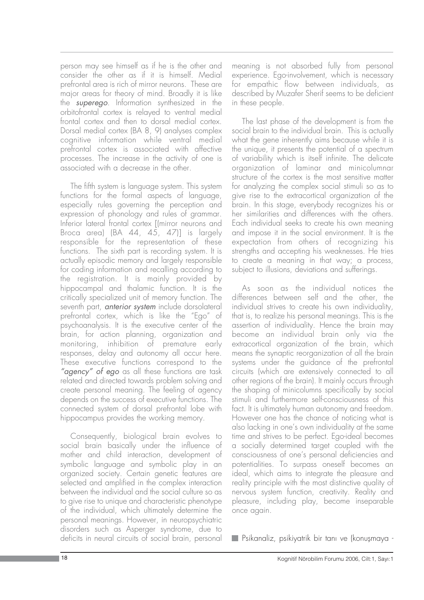person may see himself as if he is the other and consider the other as if it is himself. Medial prefrontal area is rich of mirror neurons. These are major areas for theory of mind. Broadly it is like the *superego*. Information synthesized in the orbitofrontal cortex is relayed to ventral medial frontal cortex and then to dorsal medial cortex. Dorsal medial cortex (BA 8, 9) analyses complex cognitive information while ventral medial prefrontal cortex is associated with affective processes. The increase in the activity of one is associated with a decrease in the other.

The fifth system is language system. This system functions for the formal aspects of language, especially rules governing the perception and expression of phonology and rules of grammar. Inferior lateral frontal cortex [(mirror neurons and Broca area) (BA 44, 45, 47)] is largely responsible for the representation of these functions. The sixth part is recording system. It is actually episodic memory and largely responsible for coding information and recalling according to the registration. It is mainly provided by hippocampal and thalamic function. It is the critically specialized unit of memory function. The seventh part, *anterior system* include dorsolateral prefrontal cortex, which is like the "Ego" of psychoanalysis. It is the executive center of the brain, for action planning, organization and monitoring, inhibition of premature early responses, delay and autonomy all occur here. These executive functions correspond to the *"agency" of ego* as all these functions are task related and directed towards problem solving and create personal meaning. The feeling of agency depends on the success of executive functions. The connected system of dorsal prefrontal lobe with hippocampus provides the working memory.

Consequently, biological brain evolves to social brain basically under the influence of mother and child interaction, development of symbolic language and symbolic play in an organized society. Certain genetic features are selected and amplified in the complex interaction between the individual and the social culture so as to give rise to unique and characteristic phenotype of the individual, which ultimately determine the personal meanings. However, in neuropsychiatric disorders such as Asperger syndrome, due to deficits in neural circuits of social brain, personal meaning is not absorbed fully from personal experience. Ego-involvement, which is necessary for empathic flow between individuals, as described by Muzafer Sherif seems to be deficient in these people.

The last phase of the development is from the social brain to the individual brain. This is actually what the gene inherently aims because while it is the unique, it presents the potential of a spectrum of variability which is itself infinite. The delicate organization of laminar and minicolumnar structure of the cortex is the most sensitive matter for analyzing the complex social stimuli so as to give rise to the extracortical organization of the brain. In this stage, everybody recognizes his or her similarities and differences with the others. Each individual seeks to create his own meaning and impose it in the social environment. It is the expectation from others of recognizing his strengths and accepting his weaknesses. He tries to create a meaning in that way; a process, subject to illusions, deviations and sufferings.

As soon as the individual notices the differences between self and the other, the individual strives to create his own individuality, that is, to realize his personal meanings. This is the assertion of individuality. Hence the brain may become an individual brain only via the extracortical organization of the brain, which means the synaptic reorganization of all the brain systems under the guidance of the prefrontal circuits (which are extensively connected to all other regions of the brain). It mainly occurs through the shaping of minicolumns specifically by social stimuli and furthermore self-consciousness of this fact. It is ultimately human autonomy and freedom. However one has the chance of noticing what is also lacking in one's own individuality at the same time and strives to be perfect. Ego-ideal becomes a socially determined target coupled with the consciousness of one's personal deficiencies and potentialities. To surpass oneself becomes an ideal, which aims to integrate the pleasure and reality principle with the most distinctive quality of nervous system function, creativity. Reality and pleasure, including play, become inseparable once again.

Psikanaliz, psikiyatrik bir tanı ve (konuşmaya -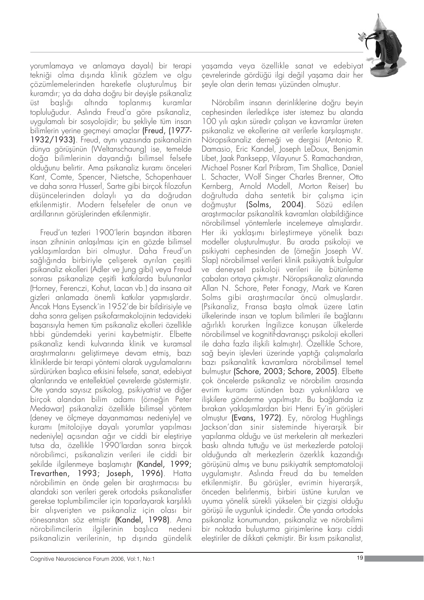

yorumlamaya ve anlamaya dayalı) bir terapi tekniği olma dışında klinik gözlem ve olgu çözümlemelerinden hareketle oluşturulmuş bir kuramdır; ya da daha doğru bir deyişle psikanaliz üst başlığı altında toplanmış kuramlar topluluğudur. Aslında Freud'a göre psikanaliz, uygulamalı bir sosyolojidir; bu sekliyle tüm insan bilimlerin yerine geçmeyi amaçlar (Freud, (1977- 1932/1933). Freud, aynı yazısında psikanalizin dünya görüşünün (Weltanschaung) ise, temelde doğa bilimlerinin dayandığı bilimsel felsefe olduğunu belirtir. Ama psikanaliz kuramı önceleri Kant, Comte, Spencer, Nietsche, Schopenhauer ve daha sonra Husserl, Sartre gibi birçok filozofun düşüncelerinden dolaylı ya da doğrudan etkilenmiştir. Modern felsefeler de onun ve ardıllarının görüşlerinden etkilenmiştir.

Freud'un tezleri 1900'lerin basından itibaren insan zihninin anlaşılması için en gözde bilimsel yaklaşımlardan biri olmuştur. Daha Freud'un sağlığında birbiriyle çelişerek ayrılan çeşitli psikanaliz ekolleri (Adler ve Jung gibi) veya Freud sonrası psikanalize çeşitli katkılarda bulunanlar (Horney, Ferenczi, Kohut, Lacan vb.) da insana ait gizleri anlamada önemli katkılar yapmışlardır. Ancak Hans Eysenck'in 1952'de bir bildirisiyle ve daha sonra gelisen psikofarmakolojinin tedavideki başarısıyla hemen tüm psikanaliz ekolleri özellikle tıbbi gündemdeki yerini kaybetmiştir. Elbette psikanaliz kendi kulvarında klinik ve kuramsal araştırmalarını geliştirmeye devam etmiş, bazı kliniklerde bir terapi yöntemi olarak uygulamalarını sürdürürken baslıca etkisini felsefe, sanat, edebiyat alanlarında ve entellektüel çevrelerde göstermiştir. Ote yanda sayısız psikolog, psikiyatrist ve diğer birçok alandan bilim adamı (örneğin Peter Medawar) psikanalizi özellikle bilimsel yöntem (deney ve ölçmeye dayanmaması nedeniyle) ve kuramı (mitolojiye dayalı yorumlar yapılması nedeniyle) açısından ağır ve ciddi bir eleştiriye tutsa da, özellikle 1990'lardan sonra birçok nörobilimci, psikanalizin verileri ile ciddi bir şekilde ilgilenmeye başlamıştır (Kandel, 1999; Trevarthen, 1993; Joseph, 1996). Hatta nörobilimin en önde gelen bir araştırmacısı bu alandaki son verileri gerek ortodoks psikanalistler gerekse toplumbilimciler için toparlayarak karşılıklı bir alışverişten ve psikanaliz için olası bir rönesanstan söz etmiştir (Kandel, 1998). Ama nörobilimcilerin ilgilerinin başlıca nedeni psikanalizin verilerinin, tıp dışında gündelik

yaşamda veya özellikle sanat ve edebiyat çevrelerinde gördüğü ilgi değil yaşama dair her şeyle olan derin teması yüzünden olmuştur.

Nörobilim insanın derinliklerine doğru beyin cephesinden ilerledikçe ister istemez bu alanda 100 yılı askın süredir çalısan ve kavramlar üreten psikanaliz ve ekollerine ait verilerle karsılasmıstır. .<br>Nöropsikanaliz derneği ve dergisi (Antonio R. Damasio, Eric Kandel, Joseph LeDoux, Benjamin Libet, Jaak Panksepp, Vilayunur S. Ramachandran, Michael Posner Karl Pribram, Tim Shallice, Daniel L. Schacter, Wolf Singer Charles Brenner, Otto Kernberg, Arnold Modell, Morton Reiser) bu doğrultuda daha sentetik bir çalışma için doğmuştur **(Solms, 2004)**. Sözü edilen araştırmacılar psikanalitik kavramları olabildiăince nörobilimsel yöntemlerle incelemeye almıslardır. Her iki yaklaşımı birleştirmeye yönelik bazı modeller olusturulmustur. Bu arada psikoloji ve psikiyatri cephesinden de (örneğin Joseph W. Slap) nörobilimsel verileri klinik psikiyatrik bulgular ve deneysel psikoloji verileri ile bütünleme çabaları ortaya çıkmıştır. Nöropsikanaliz alanında Allan N. Schore, Peter Fonagy, Mark ve Karen Solms gibi araştırmacılar öncü olmuşlardır. (Psikanaliz, Fransa başta olmak üzere Latin ülkelerinde insan ve toplum bilimleri ile bağlarını ağırlıklı korurken İngilizce konuşan ülkelerde nörobilimsel ve kognitif-davranışçı psikoloji ekolleri ile daha fazla ilişkili kalmıştır). Özellikle Schore, sağ beyin işlevleri üzerinde yaptığı çalışmalarla baz› psikanalitik kavramlara nörobilimsel temel bulmustur (Schore, 2003; Schore, 2005). Elbette çok öncelerde psikanaliz ve nörobilim arasında evrim kuramı üstünden bazı yakınlıklara ve ilişkilere gönderme yapılmıştır. Bu bağlamda iz bırakan yaklaşımlardan biri Henri Ey'in görüşleri olmustur (Evans, 1972). Ey, nörolog Hughlings Jackson'dan sinir sisteminde hiyerarşik bir yap›lanma oldu¤u ve üst merkelerin alt merkezleri baskı altında tuttuğu ve üst merkezlerde patoloji olduğunda alt merkezlerin özerklik kazandığı görüşünü almış ve bunu psikiyatrik semptomatoloji uygulamıstır. Aslında Freud da bu temelden etkilenmiştir. Bu görüşler, evrimin hiyerarşik, önceden belirlenmiş, birbiri üstüne kurulan ve uyuma yönelik sürekli yükselen bir çizgisi olduğu görüşü ile uygunluk içindedir. Öte yanda ortodoks psikanaliz konumundan, psikanaliz ve nörobilimi bir noktada buluşturma girişimlerine karşı ciddi eleştiriler de dikkati çekmiştir. Bir kısım psikanalist,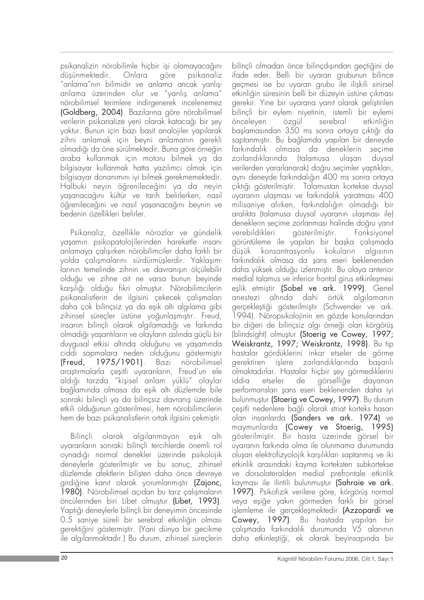psikanalizin nörobilimle hiçbir işi olamayacağını düşünmektedir. Onlara göre psikanaliz "anlama"nın bilimidir ve anlama ancak yanlışanlama üzerinden olur ve "yanlış anlama" nörobilimsel terimlere indirgenerek incelenemez (Goldberg, 2004). Bazılarına göre nörobilimsel verilerin psikanalize veni olarak katacağı bir sev yoktur. Bunun için bazı basit analojiler yapılarak zihni anlamak için beyni anlamanın gerekli olmadığı da öne sürülmektedir. Buna göre örneğin araba kullanmak için motoru bilmek ya da bilgisayar kullanmak hatta yazılımcı olmak için bilgisayar donanımını iyi bilmek gerekmemektedir. Halbuki neyin öğrenileceğini ya da neyin yaşanacağını kültür ve tarih belirlerken, nasıl öğrenileceğini ve nasıl yaşanacağını beynin ve bedenin özellikleri belirler.

Psikanaliz, özellikle nörozlar ve gündelik yaşamın psikopatolojilerinden hareketle insanı anlamaya çalışırken nörobilimciler daha farklı bir yolda çalışmalarını sürdürmüşlerdir. Yaklaşımlarının temelinde zihnin ve davranısın ölçülebilir oldu¤u ve zihne ait ne varsa bunun beyinde karşılığı olduğu fikri olmuştur. Nörobilimcilerin psikanalistlerin de ilgisini çekecek çalışmaları daha çok bilinçsiz ya da eşik altı algılama gibi zihinsel süreçler üstüne yoğunlaşmıştır. Freud, insanın bilinçli olarak algılamadığı ve farkında olmadığı yaşantıların ve olayların aslında güçlü bir duygusal etkisi altında olduğunu ve yaşamında ciddi sapmalara neden olduğunu göstermiştir (Freud, 1975/1901). Baz› nörobilimsel arastırmalarla cesitli uyaranların, Freud'un ele aldığı tarzda "kişisel anlam yüklü" olaylar bağlamında olmasa da esik altı düzlemde bile sonraki bilinçli ya da bilinçsiz davranış üzerinde etkili olduğunun gösterilmesi, hem nörobilimcilerin hem de bazı psikanalistlerin ortak ilgisini çekmiştir.

Bilinçli olarak algılanmayan eşik altı uyaranların sonraki bilincli tercihlerde önemli rol oynadığı normal denekler üzerinde psikolojik deneylerle gösterilmiştir ve bu sonuç, zihinsel düzlemde afektlerin bilisten daha önce devreye girdiğine kanıt olarak yorumlanmıştır (Zajonc, 1980). Nörobilimsel acıdan bu tarz calısmaların öncülerinden biri Libet olmuştur (Libet, 1993). Yaptığı deneylerle bilinçli bir deneyimin öncesinde 0.5 saniye süreli bir serebral etkinliğin olması gerektiğini göstermiştir. (Yani dünya bir gecikme ile algılanmaktadır.) Bu durum, zihinsel süreçlerin

bilincli olmadan önce bilincdısından geçtiğini de ifade eder. Belli bir uyaran grubunun bilince geçmesi ise bu uyaran grubu ile ilişkili sinirsel etkinliğin süresinin belli bir düzeyin üstüne çıkması gerekir. Yine bir uyarana yanıt olarak geliştirilen bilinçli bir eylem niyetinin, istemli bir eylemi önceleyen özgül serebral etkinliğin başlamasından 350 ms sonra ortaya çıktığı da saptanmıştır. Bu bağlamda yapılan bir deneyde farkındalık olmasa da deneklerin seçime zorlandıklarında (talamusa ulaşan duysal verilerden yararlanarak) doğru secimler yaptıkları, aynı deneyde farkındalığın 400 ms sonra ortaya çıktığı gösterilmiştir. Talamustan kortekse duysal uyaranın ulasması ve farkındalık yaratması 400 milisaniye alırken, farkındalığın olmadığı bir aralıkta (talamusa duysal uyaranın ulaşması ile) deneklerin secime zorlanması halinde doğru yanıt verebildikleri gösterilmiştir. Fonksiyonel görüntüleme ile yapılan bir başka çalışmada düşük konsantrasyonlu kokuların algısının farkındalık olmasa da şans eseri beklenenden daha yüksek olduğu izlenmiştir. Bu olaya anterior medial talamus ve inferior frontal girus etkinleşmesi eşlik etmiştir (Sobel ve ark. 1999). Genel anestezi altında dahi örtük algılamanın gerçekleştiği gösterilmiştir (Schwender ve ark. 1994). Nöropsikolojinin en gözde konularından bir diğeri de bilinçsiz algı örneği olan körgörüş (blindsight) olmustur (Stoerig ve Cowey, 1997; Weiskrantz, 1997; Weiskrantz, 1998). Bu tip hastalar gördüklerini inkar etseler de görme gerektiren işlere zorlandıklarında başarılı olmaktadırlar. Hastalar hicbir sey görmediklerini iddia etseler de görselliğe dayanan performansları sans eseri beklenenden daha iyi bulunmustur (Stoerig ve Cowey, 1997). Bu durum çeşitli nedenlere bağlı olarak striat korteks hasarı olan insanlarda (Sanders ve ark. 1974) ve maymunlarda (Cowey ve Stoerig, 1995) gösterilmiştir. Bir hasta üzerinde görsel bir uyaranın farkında olma ile olunmama durumunda oluşan elektrofizyolojik karşılıkları saptanmış ve iki etkinlik arasındaki kayma korteksten subkortekse ve dorsolateralden medial prefrontale etkinlik kayması ile ilintili bulunmuştur (Sahraie ve ark. 1997). Psikofizik verilere göre, körgörüş normal veya eşiğe yakın görmeden farklı bir görsel işlemleme ile gerçekleşmektedir (Azzopardi ve Cowey, 1997). Bu hastada yapılan bir çalışmada farkındalık durumunda V5 alanının daha etkinleştiği, ek olarak beyinsapında bir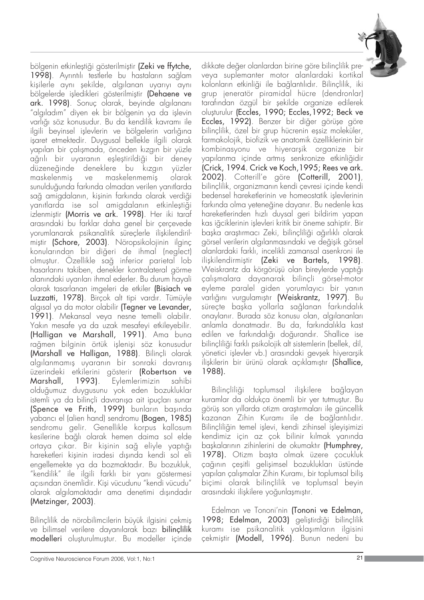

bölgenin etkinleştiği gösterilmiştir (Zeki ve ffytche, 1998). Ayrıntılı testlerle bu hastaların sağlam kişilerle aynı şekilde, algılanan uyarıyı aynı bölgelerde isledikleri gösterilmiştir (Dehaene ve ark. 1998). Sonuç olarak, beyinde algılananı "algıladım" diyen ek bir bölgenin ya da işlevin varlığı söz konusudur. Bu da kendilik kavramı ile ilgili beyinsel işlevlerin ve bölgelerin varlığına işaret etmektedir. Duygusal bellekle ilgili olarak yapılan bir çalışmada, önceden kızgın bir yüzle ağrılı bir uyaranın eşleştirildiği bir deney düzeneğinde deneklere bu kızgın yüzler maskelenmis ve maskelenmemis olarak sunulduğunda farkında olmadan verilen yanıtlarda sağ amigdalanın, kişinin farkında olarak verdiği yanıtlarda ise sol amigdalanın etkinleştiği izlenmiştir (Morris ve ark. 1998). Her iki taraf arasındaki bu farklar daha genel bir çerçevede yorumlanarak psikanalitik süreçlerle ilişkilendirilmiştir (Schore, 2003). Nöropsikolojinin ilginç konularından bir diğeri de ihmal (neglect) olmuştur. Özellikle sağ inferior parietal lob hasarlarını takiben, denekler kontralateral görme alanındaki uyarıları ihmal ederler. Bu durum hayali olarak tasarlanan imgeleri de etkiler (Bisiach ve Luzzatti, 1978). Birçok alt tipi vardır. Tümüyle algisal ya da motor olabilir (Tegner ve Levander, 1991). Mekansal veya nesne temelli olabilir. Yakın mesafe ya da uzak mesafeyi etkileyebilir. (Halligan ve Marshall, 1991). Ama buna rağmen bilginin örtük işlenişi söz konusudur (Marshall ve Halligan, 1988). Bilinçli olarak algılanmamıs uyaranın bir sonraki davranıs üzerindeki etkilerini gösterir (Robertson ve Marshall, 1993). Eylemlerimizin sahibi olduğumuz duygusunu yok eden bozukluklar istemli ya da bilinçli davranışa ait ipuçları sunar (Spence ve Frith, 1999) bunların başında vabancı el (alien hand) sendromu (Bogen, 1985) sendromu gelir. Genellikle korpus kallosum kesilerine bağlı olarak hemen daima sol elde ortaya çıkar. Bir kişinin sağ eliyle yaptığı hareketleri kişinin iradesi dışında kendi sol eli engellemekte ya da bozmaktadır. Bu bozukluk, "kendilik" ile ilgili farklı bir yanı göstermesi açısından önemlidir. Kişi vücudunu "kendi vücudu" olarak algılamaktadır ama denetimi dışındadır (Metzinger, 2003).

Bilinçlilik de nörobilimcilerin büyük ilgisini çekmiş ve bilimsel verilere dayanılarak bazı bilinçlilik modelleri oluşturulmuştur. Bu modeller içinde

dikkate değer olanlardan birine göre bilinçlilik preveya suplemanter motor alanlardaki kortikal kolonların etkinliği ile bağlantılıdır. Bilinçlilik, iki grup jeneratör piramidal hücre (dendronlar) tarafından özgül bir şekilde organize edilerek olușturulur (Eccles, 1990; Eccles, 1992; Beck ve Eccles, 1992). Benzer bir diğer görüşe göre bilinçlilik, özel bir grup hücrenin eşsiz moleküler, farmakolojik, biofizik ve anatomik özelliklerinin bir kombinasyonu ve hiyerarşik organize bir yapılanma içinde artmış senkronize etkinliğidir (Crick, 1994. Crick ve Koch,1995; Rees ve ark. 2002). Cotterill'e göre (Cotterill, 2001), bilinçlilik, organizmanın kendi çevresi içinde kendi bedensel hareketlerinin ve homeostatik islevlerinin farkında olma yeteneğine dayanır. Bu nedenle kas hareketlerinden hızlı duysal geri bildirim yapan kas iğciklerinin islevleri kritik bir öneme sahiptir. Bir başka araştırmacı Zeki, bilinçliliği ağırlıklı olarak görsel verilerin algılanmasındaki ve değişik görsel alanlardaki farklı, incelikli zamansal asenkroni ile ilişkilendirmiştir (Zeki ve Bartels, 1998). Weiskrantz da körgörüşü olan bireylerde yaptığı çalışmalara dayanarak bilinçli görsel-motor eyleme paralel giden yorumlayıcı bir yanın varlığını vurgulamıştır (Weiskrantz, 1997). Bu süreçte başka yollarla sağlanan farkındalık onaylanır. Burada söz konusu olan, algılananları anlamla donatmadır. Bu da, farkındalıkla kast edilen ve farkındalığı doğurandır. Shallice ise bilinçliliği farklı psikolojik alt sistemlerin (bellek, dil, yönetici işlevler vb.) arasındaki gevşek hiyerarşik ilişkilerin bir ürünü olarak açıklamıştır (Shallice, 1988).

Bilinçliliği toplumsal ilişkilere bağlayan kuramlar da oldukça önemli bir yer tutmuştur. Bu görüş son yıllarda otizm araştırmaları ile güncellik kazanan Zihin Kuramı ile de bağlantılıdır. Bilinçliliğin temel işlevi, kendi zihinsel işleyişimizi kendimiz için az çok bilinir kılmak yanında baskalarının zihinlerini de okumaktır (Humphrey, 1978). Otizm başta olmak üzere çocukluk çağının çeşitli gelişimsel bozuklukları üstünde yapılan çalışmalar Zihin Kuramı, bir toplumsal bilis biçimi olarak bilinçlilik ve toplumsal beyin arasındaki ilişkilere yoğunlaşmıştır.

Edelman ve Tononi'nin (Tononi ve Edelman, 1998; Edelman, 2003) geliştirdiği bilinçlilik kuramı ise psikanalitik yaklaşımların ilgisini çekmiştir (Modell, 1996). Bunun nedeni bu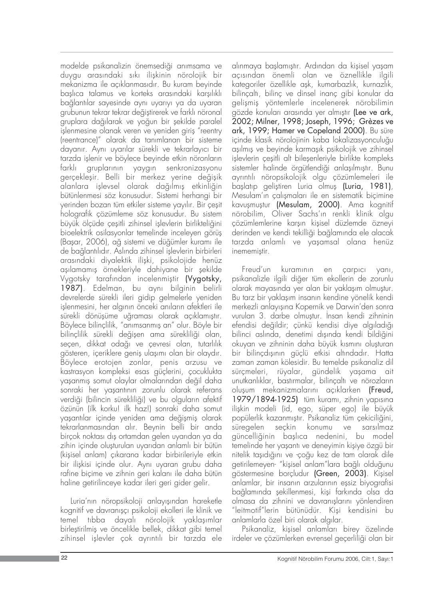modelde psikanalizin önemsediği anımsama ve duygu arasındaki sıkı ilişkinin nörolojik bir mekanizma ile açıklanmasıdır. Bu kuram beyinde baslıca talamus ve korteks arasındaki karşılıklı bağlantılar sayesinde aynı uyarıyı ya da uyaran grubunun tekrar tekrar değiştirerek ve farklı nöronal aruplara dağılarak ve yoğun bir sekilde paralel islenmesine olanak veren ve yeniden giris "reentry (reentrance)" olarak da tanımlanan bir sisteme dayanır. Aynı uyarılar sürekli ve tekrarlayıcı bir tarzda işlenir ve böylece beyinde etkin nöronların farklı gruplarının yaygın senkronizasyonu gerçekleşir. Belli bir merkez yerine değişik alanlara işlevsel olarak dağılmış etkinliğin bütünlenmesi söz konusudur. Sistemi herhangi bir yerinden bozan tüm etkiler sisteme yayılır. Bir çeşit holografik çözümleme söz konusudur. Bu sistem büyük ölçüde çesitli zihinsel isleylerin birlikteliğini bioelektrik osilasyonlar temelinde inceleyen görüş (Başar, 2006), ağ sistemi ve düğümler kuramı ile de bağlantılıdır. Aslında zihinsel işlevlerin birbirleri arasındaki diyalektik ilişki, psikolojide henüz aşılamamış örnekleriyle dahiyane bir sekilde Vygotsky tarafından incelenmiştir (Vygotsky, 1987). Edelman, bu aynı bilginin belirli devrelerde sürekli ileri gidip gelmelerle yeniden işlenmesini, her algının önceki anıların afektleri ile sürekli dönüsüme uğraması olarak açıklamıştır. Böylece bilinçlilik, "anımsanmış an" olur. Böyle bir bilinçlilik sürekli değişen ama sürekliliği olan, seçen, dikkat odağı ve çevresi olan, tutarlılık gösteren, içeriklere geniş ulaşımı olan bir olaydır. Böylece erotojen zonlar, penis arzusu ve kastrasyon kompleksi esas güçlerini, çocuklukta yaşanmış somut olaylar olmalarından değil daha sonraki her yaşantının zorunlu olarak referans verdiği (bilincin sürekliliği) ve bu olguların afektif özünün (ilk korku! ilk haz!) sonraki daha somut yaşantılar içinde yeniden ama değişmiş olarak tekrarlanmasından alır. Beynin belli bir anda birçok noktası dış ortamdan gelen uyarıdan ya da zihin içinde olusturulan uyarıdan anlamlı bir bütün (kişisel anlam) çıkarana kadar birbirileriyle etkin bir ilişkisi içinde olur. Aynı uyaran grubu daha rafine bicime ve zihnin geri kalanı ile daha bütün haline getirilinceye kadar ileri geri gider gelir.

Luria'nın nöropsikoloji anlayışından hareketle kognitif ve davranışçı psikoloji ekolleri ile klinik ve temel tıbba dayalı nörolojik yaklaşımlar birleştirilmiş ve öncelikle bellek, dikkat gibi temel zihinsel işlevler çok ayrıntılı bir tarzda ele alınmaya başlamıştır. Ardından da kisisel yaşam açısından önemli olan ve öznellikle ilgili kategoriler özellikle aşk, kumarbazlık, kurnazlık, bilinçaltı, bilinç ve dinsel inanç gibi konular da gelişmiş yöntemlerle incelenerek nörobilimin gözde konuları arasında yer almıştır (Lee ve ark, 2002; Milner, 1998; Joseph, 1996; Grèzes ve ark, 1999; Hamer ve Copeland 2000). Bu süre icinde klasik nörolojinin kaba lokalizasyonculuğu aşılmış ve beyinde karmaşık psikolojik ve zihinsel işlevlerin çeşitli alt bileşenleriyle birlikte kompleks sistemler halinde örgütlendiği anlaşılmıştır. Bunu ayrıntılı nöropsikolojik olgu çözümlemeleri ile başlatıp geliştiren Luria olmuş (Luria, 1981), Mesulam'ın calısmaları ile en sistematik biçimine kavuşmuştur (Mesulam, 2000). Ama kognitif nörobilim, Oliver Sachs'ın renkli klinik olgu cözümlemlerine karsın kisisel düzlemde özneyi derinden ve kendi tekilliği bağlamında ele alacak tarzda anlamlı ve yaşamsal olana henüz inememistir.

Freud'un kuramının en çarpıcı yanı, psikanalizle ilgili di¤er tüm ekollerin de zorunlu olarak mayasında yer alan bir yaklaşım olmuştur. Bu tarz bir yaklaşım insanın kendine yönelik kendi merkezli anlayışına Kopernik ve Darwin'den sonra vurulan 3. darbe olmustur. İnsan kendi zihninin efendisi değildir; çünkü kendisi diye algıladığı bilinci aslında, denetimi dışında kendi bildiğini okuyan ve zihninin daha büyük kısmını oluşturan bir bilinçdışının güçlü etkisi altındadır. Hatta zaman zaman kölesidir. Bu temelde psikanaliz dil sürçmeleri, rüyalar, gündelik yaşama ait unutkanlıklar, bastırmalar, bilinçaltı ve nörozların olusum mekanizmalarını açıklarken (Freud, 1979/1894-1925) tüm kuramı, zihnin yapısına ilişkin modeli (id, ego, süper ego) ile büyük popülerlik kazanmıştır. Psikanaliz tüm çekiciliğini, süregelen seckin konumu ve sarsılmaz güncelliğinin başlıca nedenini, bu model temelinde her yasantı ve deneyimin kisiye özgü bir nitelik taşıdığını ve -çoğu kez de tam olarak dile getirilemeyen- "kişisel anlam"lara bağlı olduğunu göstermesine borcludur (Green, 2003). Kisisel anlamlar, bir insanın arzularının eşsiz biyografisi bağlamında şekillenmesi, kişi farkında olsa da olmasa da zihnini ve davranışlarını yönlendiren "leitmotif"lerin bütünüdür. Kisi kendisini bu anlamlarla özel biri olarak algılar.

Psikanaliz, kişisel anlamları birey özelinde irdeler ve çözümlerken evrensel geçerliliği olan bir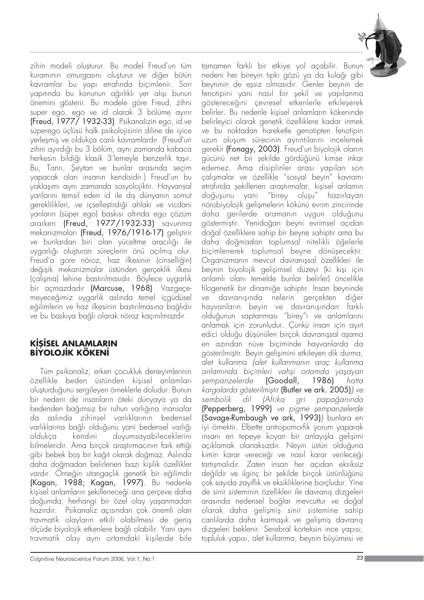

zihin modeli olușturur. Bu model Freud'un tüm kuramının omurgasını oluşturur ve diğer bütün kavramlar bu yapı etrafında biçimlenir. Son yapıtında bu konunun ağırlıklı yer alışı bunun önemini gösterir. Bu modele göre Freud, zihni super ego, ego ve id olarak 3 bölüme ayırır (Freud, 1977/ 1932-33). Psikanalizin ego, id ve süperego üçlüsü halk psikolojisinin diline de iyice yerleşmiş ve oldukça canlı kavramlardır. (Freud'un zihni ayırdığı bu 3 bölüm, aynı zamanda kabaca herkesin bildiği klasik 3'lemeyle benzerlik taşır. Bu, Tanrı, Şeytan ve bunlar arasında seçim yapacak olan insanın kendisidir.) Freud'un bu yaklaşımı aynı zamanda sosyolojiktir. Hayvansal yanlarını temsil eden id ile dış dünyanın somut gereklilikleri, ve içselleştirdiği ahlaki ve vicdani yanların (süper ego) baskısı altında ego çözüm ararken (Freud, 1977/1932-33) savunma mekanizmaları (Freud, 1976/1916-17) geliştirir ve bunlardan biri olan yüceltme aracılığı ile uygarlığı oluşturan süreçlerin önü açılmış olur. Freud'a gore nöroz, haz ilkesinin (cinselliğin) değişik mekanizmalar üstünden gerçeklik ilkesi (çalışma) lehine bastırılmasıdır. Böylece uygarlık bir açmazdadır (Marcuse, 1968). Vazgeçemeyeceğimiz uygarlık aslında temel içgüdüsel eğilimlerin ve haz ilkesinin bastırılmasına bağlıdır ve bu baskıya bağlı olarak nöroz kaçınılmazdır.

## **KİSİSEL ANLAMLARIN BİYOLOJİK KÖKENİ**

Tüm psikanaliz, erken çocukluk deneyimlerinin özellikle beden üstünden kisisel anlamları oluşturduğunu sergileyen örneklerle doludur. Bunun bir nedeni de insanların öteki dünyaya ya da bedenden bağımsız bir ruhun varlığına inansalar da aslında zihinsel varlıklarının bedensel varlıklarına bağlı olduğunu yani bedensel varlığı oldukça kendini duyumsayabileceklerini bilmeleridir. Ama bircok arastırmacının fark ettiği gibi bebek boş bir kağıt olarak doğmaz. Aslında daha doğmadan belirlenen bazı kisilik özellikler vardır. Örneğin utangaçlık genetik bir eğilimdir (Kagan, 1988; Kagan, 1997). Bu nedenle kişisel anlamların şekilleneceği ana çerçeve daha doğumda, herhangi bir özel olay yaşanmadan hazırdır. Psikanaliz açısından çok önemli olan travmatik olayların etkili olabilmesi de genis ölçüde biyolojik etkenlere bağlı olabilir. Yani aynı travmatik olay aynı ortamdaki kişilerde bile

tamamen farklı bir etkiye yol açabilir. Bunun nedeni her bireyin tıpkı gözü ya da kulağı gibi beyninin de essiz olmasıdır. Genler beynin de fenotipini yani nasıl bir şekil ve yapılanma göstereceğini çevresel etkenlerle etkileşerek belirler. Bu nedenle kisisel anlamların kökeninde belirleyici olarak genetik özelliklere kadar inmek ve bu noktadan hareketle genotipten fenotipin uzun olusum sürecinin ayrıntılarını incelemek gerekir (Fonagy, 2003). Freud'un biyolojik olanın gücünü net bir şekilde gördüğünü kimse inkar edemez. Ama disiplinler arası yapılan son çalışmalar ve özellikle "sosyal beyin" kavramı etrafında şekillenen araştırmalar, kişisel anlamın doğuşunu yani "birey oluşu" hazırlayan nörobiyolojik gelişmelerin kökünü evrim zincirinde daha gerilerde aramanın uygun olduğunu göstermistir. Yenidoğan beyni evrimsel açıdan do¤al özelliklere sahip bir beyne sahiptir ama bu daha do¤madan toplumsal nitelikli ö¤elerle biçimlenerek toplumsal beyne dönüşecektir. Organizmanın mevcut davranışsal özellikleri ile beynin biyolojik gelişimsel düzeyi (ki kişi için anlaml› olan› temelde bunlar belirler) öncelikle filogenetik bir dinamiğe sahiptir. İnsan beyninde ve davranışında nelerin gerçekten diğer hayvanların beyin ve davranışından farklı olduğunun saptanması "birey"i ve anlamlarını anlamak için zorunludur. Çünkü insan için ayırt edici olduğu düşünülen birçok davranışsal aşama en azından nüve biçiminde hayvanlarda da gösterilmiştir. Beyin gelişimini etkileyen dik durma, alet kullanma *{alet kullanmanın araç kullanma* anlamında biçimleri vahşi ortamda yaşayan sempanzelerde (Goodall, 1986) hatta kargalarda gösterilmiştir (Butler ve ark. 2005)} ve sembolik dil {Afrika gri papağanında (Pepperberg, 1999) ve pigme sempanzelerde (Savage-Rumbaugh ve ark, 1993)} bunlara en iyi örnektir. Elbette antropomorfik yorum yaparak insanı en tepeye koyan bir anlayışla gelişimi açıklamak olanaksızdır. Neyin üstün olduğuna kimin karar vereceği ve nasıl karar verileceği tartısmalıdır. Zaten insan her açıdan eksiksiz değildir ve ilginç bir sekilde birçok üstünlüğünü çok sayıda zayıflık ve eksikliklerine borçludur. Yine de sinir sisteminin özellikleri ile davranıs dizgeleri arasında nedensel bağlar mevcuttur ve doğal olarak daha gelişmiş sinir sistemine sahip canlılarda daha karmasık ve gelismis davranıs dizgeleri beklenir. Serebral korteksin ince yapısı, topluluk yapısı, alet kullanma, beynin büyümesi ve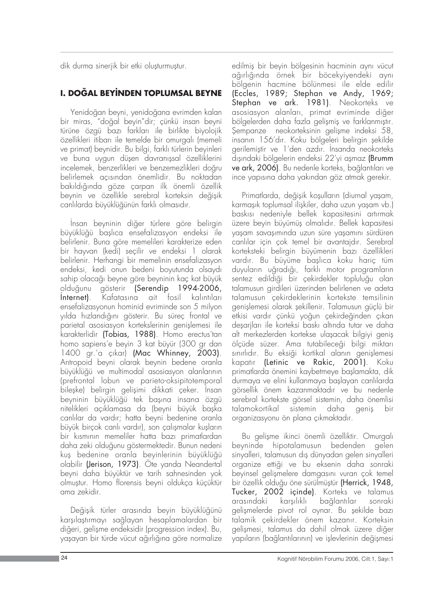dik durma sinerjik bir etki oluşturmuştur.

# **I. DOĞAL BEYİNDEN TOPLUMSAL BEYNE**

Yenidoğan beyni, yenidoğana evrimden kalan bir miras, "do¤al beyin"dir; çünkü insan beyni türüne özgü bazı farkları ile birlikte biyolojik özellikleri itibarı ile temelde bir omurgalı (memeli ve primat) beynidir. Bu bilgi, farklı türlerin beyinleri ve buna uygun düşen davranışsal özelliklerini incelemek, benzerlikleri ve benzemezlikleri doğru belirlemek açısından önemlidir. Bu noktadan bakıldığında göze çarpan ilk önemli özellik beynin ve özellikle serebral korteksin değisik canlılarda büyüklüğünün farklı olmasıdır.

İnsan beyninin diğer türlere göre belirgin büyüklüğü başlıca ensefalizasyon endeksi ile belirlenir. Buna göre memelileri karakterize eden bir hayvan (kedi) seçilir ve endeksi 1 olarak belirlenir. Herhangi bir memelinin ensefalizasyon endeksi, kedi onun bedeni boyutunda olsayd› sahip olacağı beyne göre beyninin kaç kat büyük olduğunu gösterir (Serendip 1994-2006, Internet). Kafatasına ait fosil kalıntıları ensefalizasyonun hominid evriminde son 5 milyon yılda hızlandığını gösterir. Bu süreç frontal ve parietal asosiasyon kortekslerinin genişlemesi ile karakterlidir (Tobias, 1988). Homo erectus'tan homo sapiens'e beyin 3 kat büyür (300 gr dan 1400 gr.'a çıkar) (Mac Whinney, 2003). Antropoid beyni olarak beynin bedene oranla büyüklüğü ve multimodal asosiasyon alanlarının (prefrontal lobun ve parieto-oksipitotemporal bileşke) belirgin gelişimi dikkati çeker. İnsan beyninin büyüklüğü tek başına insana özgü nitelikleri açıklamasa da (beyni büyük başka canlılar da vardır; hatta beyni bedenine oranla büyük birçok canlı vardır), son çalışmalar kuşların bir kısmının memeliler hatta bazı primatlardan daha zeki olduğunu göstermektedir. Bunun nedeni kuş bedenine oranla beyinlerinin büyüklüğü olabilir (Jerison, 1973). Öte yanda Neandertal beyni daha büyüktür ve tarih sahnesinden yok olmufltur. Homo florensis beyni oldukça küçüktür ama zekidir.

Değişik türler arasında beyin büyüklüğünü karsılaştırmayı sağlayan hesaplamalardan bir diğeri, gelişme endeksidir (progression index). Bu, yaşayan bir türde vücut ağırlığına göre normalize

edilmiş bir beyin bölgesinin hacminin aynı vücut ağırlığında örnek bir böcekyiyendeki aynı bölgenin hacmine bölünmesi ile elde edilir (Eccles, 1989; Stephan ve Andy, 1969; Stephan ve ark. 1981). Neokorteks ve asosiasyon alanları, primat evriminde diğer bölgelerden daha fazla gelismis ve farklanmıştır. Şempanze neokorteksinin gelişme indeksi 58, insanın 156'dır. Koku bölgeleri belirgin şekilde gerilemiştir ve 1'den azdır. İnsanda neokorteks dışındaki bölgelerin endeksi 22'yi aşmaz (Brumm ve ark, 2006). Bu nedenle korteks, bağlantıları ve ince yapısına daha yakından göz atmak gerekir.

Primatlarda, değisik kosulların (diurnal yasam, karmaşık toplumsal ilişkiler, daha uzun yaşam vb.) baskısı nedeniyle bellek kapasitesini artırmak üzere beyin büyümüs olmalıdır. Bellek kapasitesi yaşam savaşımında uzun süre yaşamını sürdüren canlılar için çok temel bir avantajdır. Serebral korteksteki belirgin büyümenin bazı özellikleri vardır. Bu büyüme başlıca koku hariç tüm duyuların uğradığı, farklı motor programların sentez edildiği bir çekirdekler topluluğu olan talamusun girdileri üzerinden belirlenen ve adeta talamusun çekirdeklerinin kortekste temsilinin genişlemesi olarak şekillenir. Talamusun güçlü bir etkisi vardır çünkü yoğun çekirdeğinden çıkan deşarjları ile korteksi baskı altında tutar ve daha alt merkezlerden kortekse ulaşacak bilgiyi geniş ölçüde süzer. Ama tutabileceği bilgi miktarı sınırlıdır. Bu eksiği kortikal alanın genişlemesi kapatır (Letinic ve Rakic, 2001). Koku primatlarda önemini kaybetmeye başlamakta, dik durmaya ve elini kullanmaya başlayan canlılarda görsellik önem kazanmaktad›r ve bu nedenle serebral kortekste görsel sistemin, daha önemlisi talamokortikal sistemin daha geniş bir organizasyonu ön plana çıkmaktadır.

Bu gelişme ikinci önemli özelliktir. Omurgalı beyninde hipotalamusun bedenden gelen sinyalleri, talamusun dış dünyadan gelen sinyalleri organize ettiği ve bu eksenin daha sonraki beyinsel gelismelere damgasını yuran çok temel bir özellik olduğu öne sürülmüştür (Herrick, 1948, Tucker, 2002 içinde). Korteks ve talamus arasındaki karşılıklı bağlantılar sonraki gelismelerde pivot rol oynar. Bu sekilde bazı talamik çekirdekler önem kazanır. Korteksin gelişmesi, talamus da dahil olmak üzere diğer yapıların (bağlantılarının) ve işlevlerinin değişmesi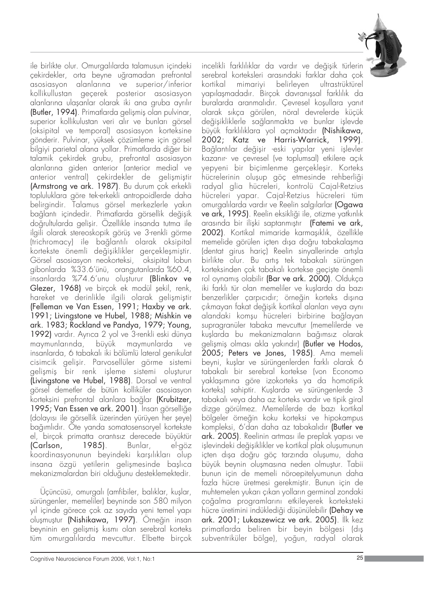

ile birlikte olur. Omurgalılarda talamusun içindeki çekirdekler, orta beyne uğramadan prefrontal asosiasyon alanlarına ve superior/inferior kollikullustan geçerek posterior asosiasyon alanlarına ulaşanlar olarak iki ana gruba ayrılır (Butler, 1994). Primatlarda gelișmiș olan pulvinar, superior kollikulustan veri alır ve bunları görsel (oksipital ve temporal) asosiasyon korteksine gönderir. Pulvinar, yüksek çözümleme için görsel bilgiyi parietal alana yollar. Primatlarda diğer bir talamik çekirdek grubu, prefrontal asosiasyon alanlarına giden anterior (anterior medial ve anterior ventral) çekirdekler de gelişmiştir (Armstrong ve ark. 1987). Bu durum çok erkekli topluluklara göre tek-erkekli antropoidlerde daha belirgindir. Talamus görsel merkezlerle yakın bağlantı içindedir. Primatlarda görsellik değişik doğrultularda gelisir. Özellikle insanda tutma ile ilgili olarak stereoskopik görüş ve 3-renkli görme (trichromacy) ile bağlantılı olarak oksipital kortekste önemli değişiklikler gerçekleşmiştir. Görsel asosiasyon neokorteksi, oksipital lobun gibonlarda %33.6'ünü, orangutanlarda %60.4, insanlarda %74.6'unu oluşturur (Blinkov ve Glezer, 1968) ve birçok ek modül şekil, renk, hareket ve derinlikle ilgili olarak gelişmiştir (Felleman ve Van Essen, 1991; Haxby ve ark. 1991; Livingstone ve Hubel, 1988; Mishkin ve ark. 1983; Rockland ve Pandya, 1979; Young, 1992) vardır. Ayrıca 2 yol ve 3-renkli eski dünya maymunlarında, büyük maymunlarda ve insanlarda, 6 tabakalı iki bölümlü lateral genikulat cisimcik gelişir. Parvosellüler görme sistemi gelişmiş bir renk işleme sistemi oluşturur (Livingstone ve Hubel, 1988). Dorsal ve ventral görsel demetler de bütün kolliküler asosiasyon korteksini prefrontal alanlara bağlar (Krubitzer, 1995; Van Essen ve ark. 2001). Insan görselliğe (dolayısı ile görsellik üzerinden yürüyen her şeye) bağımlıdır. Öte yanda somatosensoryel kortekste el, birçok primatta orantısız derecede büyüktür (Carlson, 1985). Bunlar, el-göz koordinasyonunun beyindeki karşılıkları olup insana özgü yetilerin gelişmesinde başlıca mekanizmalardan biri olduğunu desteklemektedir.

Üçüncüsü, omurgalı (amfibiler, balıklar, kuşlar, sürüngenler, memeliler) beyninde son 580 milyon yıl içinde görece çok az sayıda yeni temel yapı oluflmufltur (Nishikawa, 1997). Örne¤in insan beyninin en gelişmiş kısmı olan serebral korteks tüm omurgalılarda mevcuttur. Elbette birçok

incelikli farklılıklar da vardır ve değişik türlerin serebral korteksleri arasındaki farklar daha çok kortikal mimariyi belirleyen ultrastrüktürel yapılaşmadadır. Birçok davranışsal farklılık da buralarda aranmalıdır. Çevresel koşullara yanıt olarak s›kça görülen, nöral devrelerde küçük değişikliklerle sağlanmakta ve bunlar işlevde büyük farklılıklara yol açmaktadır (Nishikawa, 2002; Katz ve Harris-Warrick, 1999). Bağlantılar değişir -eski yapılar yeni işlevler kazan›r- ve çevresel (ve toplumsal) etkilere aç›k yepyeni bir biçimlenme gerçekleşir. Korteks hücrelerinin oluşup göç etmesinde rehberliği radyal glia hücreleri, kontrolü Cajal-Retzius hücreleri yapar. Cajal-Retzius hücreleri tüm omurgalılarda vardır ve Reelin salgılarlar (Ogawa ve ark, 1995). Reelin eksikliği ile, otizme yatkınlık arasında bir iliski saptanmıştır (Fatemi ve ark, 2002). Kortikal mimaride karmaşıklık, özellikle memelide görülen içten dışa doğru tabakalaşma (dentat girus hariç) Reelin sinyallerinde artışla birlikte olur. Bu artış tek tabakalı sürüngen korteksinden çok tabakalı kortekse geçişte önemli rol oynamış olabilir (Bar ve ark. 2000). Oldukça iki farklı tür olan memeliler ve kuslarda da bazı benzerlikler çarpıcıdır; örneğin korteks dışına çıkmayan fakat değişik kortikal alanları veya aynı alandaki komsu hücreleri birbirine bağlayan supragranüler tabaka mevcuttur (memelilerde ve kuşlarda bu mekanizmaların bağımsız olarak gelişmiş olması akla yakındır) (Butler ve Hodos, 2005; Peters ve Jones, 1985). Ama memeli beyni, kuşlar ve sürüngenlerden farklı olarak 6 tabakal› bir serebral kortekse (von Economo yaklaşımına göre izokorteks ya da homotipik korteks) sahiptir. Kuşlarda ve sürüngenlerde 3 tabakalı veya daha az korteks vardır ve tipik giral dizge görülmez. Memelilerde de bazı kortikal bölgeler örne¤in koku korteksi ve hipokampus kompleksi, 6'dan daha az tabakalıdır (Butler ve ark. 2005). Reelinin artması ile preplak yapısı ve işlevindeki değişiklikler ve kortikal plak oluşumunun içten dışa doğru göç tarzında oluşumu, daha büyük beynin olusmasına neden olmustur. Tabii bunun için de memeli nöroepitelyumunun daha fazla hücre üretmesi gerekmiştir. Bunun için de muhtemelen yukarı çıkan yolların germinal zondaki çoğalma programlarını etkileyerek korteksteki hücre üretimini indüklediği düşünülebilir (Dehay ve ark. 2001; Lukaszewicz ve ark. 2005). İlk kez primatlarda beliren bir beyin bölgesi (dış subventriküler bölge), yoğun, radyal olarak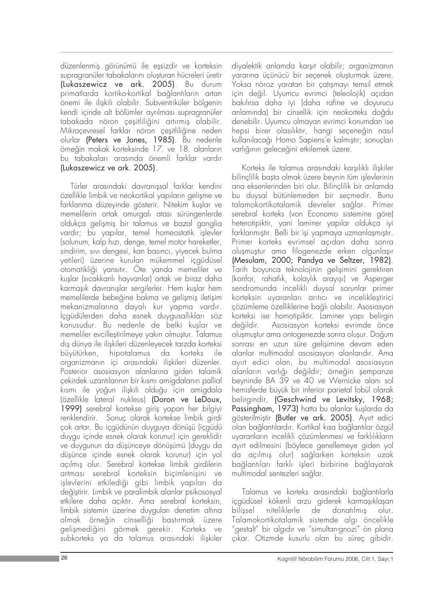düzenlenmiş görünümü ile eşsizdir ve korteksin supragranüler tabakalarını oluşturan hücreleri üretir (Lukaszewicz ve ark. 2005). Bu durum primatlarda kortiko-kortikal baălantıların artan önemi ile ilişkili olabilir. Subventriküler bölgenin kendi içinde alt bölümler ayrılması supragranüler tabakada nöron cesitliliğini artırmıs olabilir. Mikroçevresel farklar nöron çeşitliliğine neden olurlar (Peters ve Jones, 1985). Bu nedenle örneğin makak korteksinde 17. ve 18. alanların bu tabakaları arasında önemli farklar vardır (Lukaszewicz ve ark. 2005).

Türler arasındaki davranışsal farklar kendini özellikle limbik ve neokortikal yapıların gelişme ve farklanma düzeyinde gösterir. Nitekim kuşlar ve memelilerin ortak omurgalı atası sürüngenlerde oldukca gelismis bir talamus ve bazal ganglia vardır; bu yapılar, temel homeostatik işlevler (solunum, kalp hizi, denge, temel motor hareketler, sindirim, sıvı dengesi, kan basıncı, yiyecek bulma yetileri) üzerine kurulan mükemmel içgüdüsel otomatikliği yansıtır. Öte yanda memeliler ve kuşlar (sıcakkanlı hayvanlar) ortak ve biraz daha karmaşık davranışlar sergilerler. Hem kuşlar hem memelilerde bebeğine bakma ve gelişmiş iletişim mekanizmalarına dayalı kur yapma vardır.  $i$ cgüdülerden daha esnek duygusallıkları söz konusudur. Bu nedenle de belki kuşlar ve memeliler evcilleştirilmeye yakın olmuştur. Talamus dış dünya ile ilişkileri düzenleyecek tarzda korteksi büyütürken, hipotalamus da korteks ile organizmanın içi arasındaki ilişkileri düzenler. Posterior asosiasyon alanlarına giden talamik çekirdek uzantılarının bir kısmı amigdalanın pallial kısmı ile yoğun ilişkili olduğu için amigdala (özellikle lateral nukleus) (Doron ve LeDoux, 1999) serebral kortekse giriş yapan her bilgiyi renklendirir. Sonuç olarak kortekse limbik girdi çok artar. Bu içgüdünün duyguya dönüşü (içgüdü duygu içinde esnek olarak korunur) için gereklidir ve duygunun da düşünceye dönüşümü (duygu da düşünce içinde esnek olarak korunur) için yol acılmıs olur. Serebral kortekse limbik girdilerin artması serebral korteksin biçimlenisini ve işlevlerini etkilediği gibi limbik yapıları da değiştirir. Limbik ve paralimbik alanlar psikososyal etkilere daha açıktır. Ama serebral korteksin, limbik sistemin üzerine duyguları denetim altına almak örneğin cinselliği bastırmak üzere gelişmediğini görmek gerekir. Korteks ve subkorteks ya da talamus arasındaki ilişkiler

diyalektik anlamda karsıt olabilir; organizmanın yararına üçünücü bir seçenek oluşturmak üzere. Yoksa nöroz yaratan bir çatışmayı temsil etmek için değil. Uyumcu evrimci (teleolojik) açıdan bakılırsa daha iyi (daha rafine ve doyurucu anlamında) bir cinsellik için neokorteks doğdu denebilir. Uyumcu olmayan evrimci konumdan ise hepsi birer olasılıktır, hangi seçeneğin nasıl kullanılacağı Homo Sapiens'e kalmıstır; sonuçları varlığının geleceğini etkilemek üzere.

Korteks ile talamus arasındaki karşılıklı ilişkiler bilinçlilik başta olmak üzere beynin tüm işlevlerinin ana eksenlerinden biri olur. Bilinçlilik bir anlamda bu duysal bütünlemeden bir seçmedir. Bunu talamokortikotalamik devreler sağlar. Primer serebral korteks (von Economo sistemine göre) heterotipiktir, yani laminer yapılar oldukca iyi farklanmıştır. Belli bir işi yapmaya uzmanlaşmıştır. Primer korteks evrimsel acıdan daha sonra oluşmuştur ama filogenezde erken olgunlaşır (Mesulam, 2000; Pandya ve Seltzer, 1982). Tarih boyunca teknolojinin gelişimini gerektiren (konfor, rahatlık, kolaylık arayışı) ve Asperger sendromunda incelikli duysal sorunlar primer korteksin uyaranları arıtıcı ve incelikleştirici çözümleme özelliklerine bağlı olabilir. Asosiasyon korteksi ise homotipiktir. Laminer yapı belirgin değildir. Asosiasyon korteksi evrimde önce oluşmuştur ama ontogenezde sonra oluşur. Doğum sonrası en uzun süre gelişimine devam eden alanlar multimodal asosiasyon alanlarıdır. Ama ayırt edici olan, bu multimodal asosiasyon alanların varlığı değildir; örneğin şempanze beyninde BA 39 ve 40 ve Wernicke alanı sol hemisferde büyük bir inferior parietal lobül olarak belirgindir, (Geschwind ve Levitsky, 1968; Passingham, 1973) hatta bu alanlar kuşlarda da gösterilmiştir (Butler ve ark. 2005). Ayırt edici olan bağlantılardır. Kortikal kısa bağlantılar özgül uyaranların incelikli çözümlenmesi ve farklılıkların ay›rt edilmesini (böylece genellemeye giden yol da açılmış olur) sağlarken korteksin uzak bağlantıları farklı işleri birbirine bağlayarak multimodal sentezleri sağlar.

Talamus ve korteks arasındaki bağlantılarla içgüdüsel kökenli arzu giderek karmaşıklaşan bilissel niteliklerle de donatılmıs olur. Talamokortikotalamik sistemde alg› öncelikle 'gestalt" bir algıdır ve "simultan-gnozi" ön plana çıkar. Otizmde kusurlu olan bu süreç gibidir.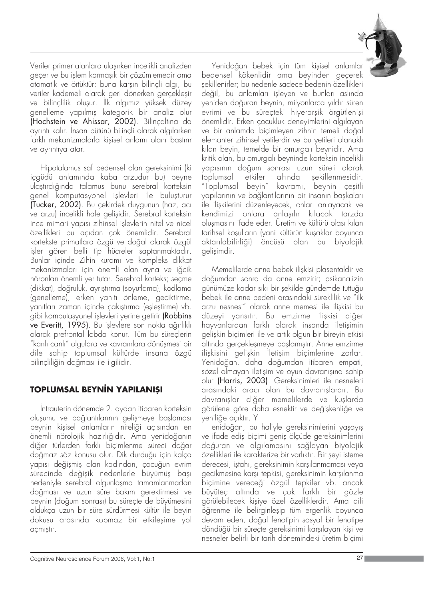

Veriler primer alanlara ulaşırken incelikli analizden geçer ve bu işlem karmaşık bir çözümlemedir ama otomatik ve örtüktür; buna karşın bilinçli algı, bu veriler kademeli olarak geri dönerken gerçekleşir ve bilinçlilik oluşur. İlk algımız yüksek düzey genelleme yapılmış kategorik bir analiz olur (Hochstein ve Ahissar, 2002). Bilincaltına da ayrıntı kalır. İnsan bütünü bilinçli olarak algılarken farklı mekanizmalarla kisisel anlamı olanı bastırır ve ayrıntıya atar.

Hipotalamus saf bedensel olan gereksinimi (ki içgüdü anlamında kaba arzudur bu) beyne ulaştırdığında talamus bunu serebral korteksin genel komputasyonel işlevleri ile buluşturur (Tucker, 2002). Bu çekirdek duygunun (haz, ac› ve arzu) incelikli hale gelişidir. Serebral korteksin ince mimari yapısı zihinsel islevlerin nitel ve nicel özellikleri bu açıdan çok önemlidir. Serebral kortekste primatlara özgü ve doğal olarak özgül işler gören belli tip hücreler saptanmaktadır. Bunlar içinde Zihin kuramı ve kompleks dikkat mekanizmaları için önemli olan ayna ve iğcik nöronları önemli yer tutar. Serebral korteks; seçme (dikkat), doğruluk, ayrıştırma (soyutlama), kodlama (genelleme), erken yanıtı önleme, geciktirme, yanıtları zaman içinde çakıştırma (eşleştirme) vb. gibi komputasyonel işlevleri yerine getirir (Robbins ve Everitt, 1995). Bu islevlere son nokta ağırlıklı olarak prefrontal lobda konur. Tüm bu süreçlerin "kanlı canlı" olgulara ve kavramlara dönüşmesi bir dile sahip toplumsal kültürde insana özgü bilinçliliğin doğması ile ilgilidir.

## **TOPLUMSAL BEYNIN YAPILANISI**

Intrauterin dönemde 2. aydan itibaren korteksin oluşumu ve bağlantılarının gelişmeye başlaması beynin kişisel anlamların niteliği açısından en önemli nörolojik hazırlığıdır. Ama yenidoğanın diğer türlerden farklı biçimlenme süreci doğar doğmaz söz konusu olur. Dik durduğu için kalça vapısı değişmiş olan kadından, çocuğun evrim sürecinde değisik nedenlerle büyümüş bası nedeniyle serebral olgunlaşma tamamlanmadan doğması ve uzun süre bakım gerektirmesi ve beynin (doğum sonrası) bu süreçte de büyümesini oldukça uzun bir süre sürdürmesi kültür ile beyin dokusu arasında kopmaz bir etkileşime yol acmıstır.

Yenidoğan bebek için tüm kişisel anlamlar bedensel kökenlidir ama beyinden geçerek şekillenirler; bu nedenle sadece bedenin özellikleri değil, bu anlamları işleyen ve bunları aslında yeniden doğuran beynin, milyonlarca yıldır süren evrimi ve bu süreçteki hiyerarşik örgütlenişi önemlidir. Erken cocukluk denevimlerini algılayan ve bir anlamda biçimleyen zihnin temeli doğal elemanter zihinsel yetilerdir ve bu yetileri olanaklı kılan beyin, temelde bir omurgalı beynidir. Ama kritik olan, bu omurgalı beyninde korteksin incelikli yapısının doğum sonrası uzun süreli olarak toplumsal etkiler altında sekillenmesidir. "Toplumsal beyin" kavramı, beynin çeşitli yapılarının ve bağlantılarının bir insanın başkaları ile ilişkilerini düzenleyecek, onları anlayacak ve kendimizi onlara anlaşılır kılacak tarzda olusmasını ifade eder. Üretim ve kültürü olası kılan tarihsel koşulların (yani kültürün kuşaklar boyunca aktarılabilirliği) öncüsü olan bu biyolojik gelisimdir.

Memelilerde anne bebek ilişkisi plasentaldir ve doğumdan sonra da anne emzirir; psikanalizin günümüze kadar sıkı bir şekilde gündemde tuttuğu bebek ile anne bedeni arasındaki süreklilik ve "ilk arzu nesnesi" olarak anne memesi ile ilişkisi bu düzeyi yansıtır. Bu emzirme ilişkisi diğer hayvanlardan farklı olarak insanda iletişimin gelişkin biçimleri ile ve artık olgun bir bireyin etkisi altında gerçekleşmeye başlamıştır. Anne emzirme ilişkisini gelişkin iletişim biçimlerine zorlar. Yenidoğan, daha doğumdan itibaren empati, sözel olmayan iletisim ve oyun davranısına sahip olur (Harris, 2003). Gereksinimleri ile nesneleri arasındaki aracı olan bu davranıslardır. Bu davranışlar diğer memelilerde ve kuşlarda görülene göre daha esnektir ve değişkenliğe ve yeniliğe açıktır. Y

enidoğan, bu haliyle gereksinimlerini yaşayış ve ifade ediş biçimi geniş ölçüde gereksinimlerini doğuran ve algılamasını sağlayan biyolojik özellikleri ile karakterize bir varlıktır. Bir şeyi isteme derecesi, istahı, gereksinimin karsılanmaması veya gecikmesine karsı tepkisi, gereksinimin karsılanma biçimine verece¤i özgül tepkiler vb. ancak büyüteç altında ve çok farklı bir gözle görülebilecek kişiye özel özelliklerdir. Ama dili öğrenme ile belirginleşip tüm ergenlik boyunca devam eden, doğal fenotipin sosyal bir fenotipe döndüğü bir süreçte gereksinimi karşılayan kişi ve nesneler belirli bir tarih dönemindeki üretim biçimi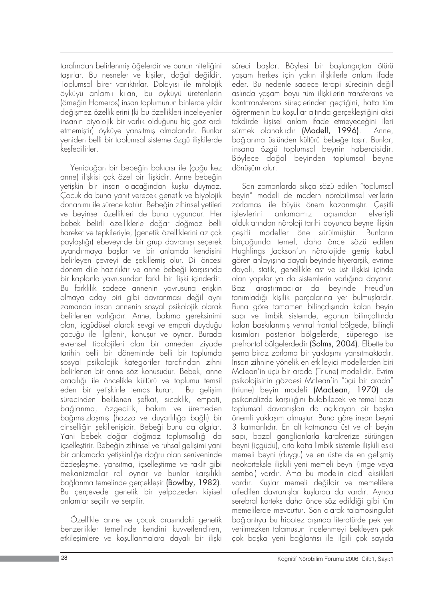tarafından belirlenmiş öğelerdir ve bunun niteliğini taşırlar. Bu nesneler ve kişiler, doğal değildir. Toplumsal birer varlıktırlar. Dolayısı ile mitolojik öyküyü anlamlı kılan, bu öyküyü üretenlerin (örneğin Homeros) insan toplumunun binlerce yıldır değişmez özelliklerini (ki bu özellikleri inceleyenler insanın biyolojik bir varlık olduğunu hiç göz ardı etmemiştir) öyküye yansıtmış olmalarıdır. Bunlar yeniden belli bir toplumsal sisteme özgü iliskilerde kesfedilirler.

Yenidoğan bir bebeğin bakıcısı ile (çoğu kez anne) ilişkisi çok özel bir ilişkidir. Anne bebeğin yetişkin bir insan olacağından kuşku duymaz. Çocuk da buna yanıt verecek genetik ve biyolojik donanımı ile sürece katılır. Bebeğin zihinsel yetileri ve beyinsel özellikleri de buna uygundur. Her bebek belirli özelliklerle doğar doğmaz belli hareket ve tepkileriyle, (genetik özelliklerini az çok paylaştığı) ebeveynde bir grup davranışı seçerek uyandırmaya başlar ve bir anlamda kendisini belirleyen çevreyi de şekillemiş olur. Dil öncesi dönem dile hazırlıktır ve anne bebeği karşısında bir kaplanla yavrusundan farklı bir ilişki içindedir. Bu farklılık sadece annenin yavrusuna erişkin olmaya aday biri gibi davranması değil aynı zamanda insan annenin sosyal psikolojik olarak belirlenen varlığıdır. Anne, bakıma gereksinimi olan, içgüdüsel olarak sevgi ve empati duyduğu çocuğu ile ilgilenir, konuşur ve oynar. Burada evrensel tipolojileri olan bir anneden ziyade tarihin belli bir döneminde belli bir toplumda sosyal psikolojik kategoriler tarafından zihni belirlenen bir anne söz konusudur. Bebek, anne aracılığı ile öncelikle kültürü ve toplumu temsil eden bir yetişkinle temas kurar. Bu gelişim sürecinden beklenen şefkat, sıcaklık, empati, bağlanma, özgecilik, bakım ve üremeden bağımsızlaşmış (hazza ve duyarlılığa bağlı) bir cinselliğin şekillenişidir. Bebeği bunu da algılar. Yani bebek doğar doğmaz toplumsallığı da icsellestirir. Bebeğin zihinsel ve ruhsal gelisimi yani bir anlamada yetişkinliğe doğru olan serüveninde özdeşleşme, yansıtma, içselleştirme ve taklit gibi mekanizmalar rol oynar ve bunlar karsılıklı bağlanma temelinde gerçekleşir (Bowlby, 1982). Bu çerçevede genetik bir yelpazeden kişisel anlamlar seçilir ve serpilir.

Özellikle anne ve cocuk arasındaki genetik benzerlikler temelinde kendini kuvvetlendiren, etkilesimlere ve kosullanmalara dayalı bir iliski süreci başlar. Böylesi bir başlangıçtan ötürü yaşam herkes için yakın ilişkilerle anlam ifade eder. Bu nedenle sadece terapi sürecinin değil aslında yaşam boyu tüm ilişkilerin transferans ve kontrtransferans süreçlerinden geçtiğini, hatta tüm öğrenmenin bu koşullar altında gerçekleştiğini aksi takdirde kisisel anlam ifade etmeyeceğini ileri sürmek olanaklıdır (Modell, 1996). Anne, bağlanma üstünden kültürü bebeğe taşır. Bunlar, insana özgü toplumsal beynin habercisidir. Böylece doğal beyinden toplumsal beyne dönüşüm olur.

Son zamanlarda sıkça sözü edilen "toplumsal beyin" modeli de modern nörobilimsel verilerin zorlaması ile büyük önem kazanmıştır. Çeşitli işlevlerini anlamamız açısından elverişli olduklarından nöroloji tarihi boyunca beyne ilişkin çeşitli modeller öne sürülmüştür. Bunların birço¤unda temel, daha önce sözü edilen Hughlings Jackson'un nörolojide geniş kabul gören anlayışına dayalı beyinde hiyerarşik, evrime dayalı, statik, genellikle ast ve üst ilişkisi içinde olan yapılar ya da sistemlerin varlığına dayanır. Bazı araştırmacılar da beyinde Freud'un tanımladığı kişilik parçalarına yer bulmuşlardır. Buna göre tamamen bilinçdışında kalan beyin sapı ve limbik sistemde, egonun bilinçaltında kalan baskılanmış ventral frontal bölgede, bilinçli kısımları posterior bölgelerde, süperego ise prefrontal bölgelerdedir (Solms, 2004). Elbette bu şema biraz zorlama bir yaklaşımı yansıtmaktadır. Insan zihnine yönelik en etkileyici modellerden biri McLean'in üçü bir arada (Triune) modelidir. Evrim psikolojisinin gözdesi McLean'in "üçü bir arada" (triune) beyin modeli (MacLean, 1970) de psikanalizde karşılığını bulabilecek ve temel bazı toplumsal davranışları da açıklayan bir başka önemli yaklaşım olmuştur. Buna göre insan beyni 3 katmanlıdır. En alt katmanda üst ve alt beyin sapı, bazal ganglionlarla karakterize sürüngen beyni (içgüdü), orta katta limbik sistemle ilişkili eski memeli beyni (duygu) ve en üstte de en gelişmiş neokorteksle iliskili yeni memeli beyni (imge veya sembol) vardır. Ama bu modelin ciddi eksikleri vardır. Kuşlar memeli değildir ve memelilere atfedilen davranışlar kuşlarda da vardır. Ayrıca serebral korteks daha önce söz edildiği gibi tüm memelilerde mevcuttur. Son olarak talamosingulat bağlantıya bu hipotez dısında literatürde pek yer verilmezken talamusun incelenmeyi bekleyen pek çok başka yeni bağlantısı ile ilgili çok sayıda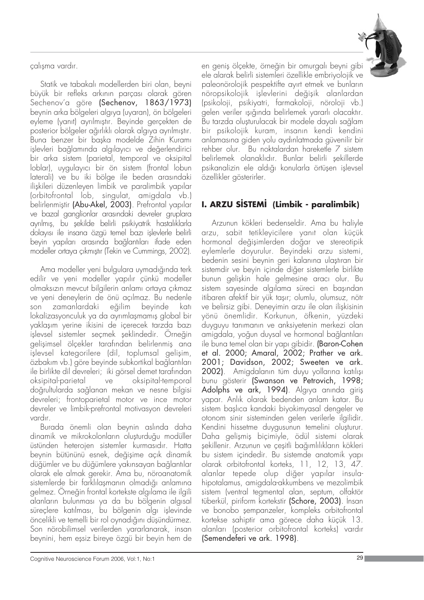calısma vardır.

Statik ve tabakalı modellerden biri olan, beyni büyük bir refleks arkının parçası olarak gören Sechenov'a göre (Sechenov, 1863/1973) beynin arka bölgeleri alg›ya (uyaran), ön bölgeleri eyleme (yanıt) ayrılmıştır. Beyinde gerçekten de posterior bölgeler ağırlıklı olarak algıya ayrılmıştır. Buna benzer bir başka modelde Zihin Kuramı işlevleri bağlamında algılayıcı ve değerlendirici bir arka sistem (parietal, temporal ve oksipital loblar), uygulayıcı bir ön sistem (frontal lobun laterali) ve bu iki bölge ile beden arasındaki ilişkileri düzenleyen limbik ve paralimbik yapılar (orbitofrontal lob, singulat, amigdala vb.) belirlenmiştir **(Abu-Akel, 2003)**. Prefrontal yapılar ve bazal ganglionlar arasındaki devreler gruplara ayrılmış, bu şekilde belirli psikiyatrik hastalıklarla dolayısı ile insana özgü temel bazı işlevlerle belirli beyin yapıları arasında bağlantıları ifade eden modeller ortaya çıkmıştır (Tekin ve Cummings, 2002).

Ama modeller yeni bulgulara uymadığında terk edilir ve yeni modeller yapılır çünkü modeller olmaksızın mevcut bilgilerin anlamı ortaya çıkmaz ve yeni deneylerin de önü açılmaz. Bu nedenle son zamanlardaki eğilim beyinde katı lokalizasyonculuk ya da ayrımlasmamıs global bir yaklaşım yerine ikisini de içerecek tarzda bazı işlevsel sistemler seçmek şeklindedir. Örneğin gelişimsel ölçekler tarafından belirlenmiş ana işlevsel kategorilere (dil, toplumsal gelişim, özbakım vb.) göre beyinde subkortikal bağlantıları ile birlikte dil devreleri; iki görsel demet tarafından oksipital-parietal ve oksipital-temporal doğrultularda sağlanan mekan ve nesne bilgisi devreleri; frontoparietal motor ve ince motor devreler ve limbik-prefrontal motivasyon devreleri vardır.

Burada önemli olan beynin aslında daha dinamik ve mikrokolonların oluşturduğu modüller üstünden heterojen sistemler kurmasıdır. Hatta beynin bütününü esnek, değişime açık dinamik düğümler ve bu düğümlere yakınsayan bağlantılar olarak ele almak gerekir. Ama bu, nöroanatomik sistemlerde bir farklılaşmanın olmadığı anlamına gelmez. Örneğin frontal kortekste algılama ile ilgili alanların bulunması ya da bu bölgenin algısal süreçlere katılması, bu bölgenin algı işlevinde öncelikli ve temelli bir rol oynadığını düşündürmez. Son nörobilimsel verilerden yararlanarak, insan beynini, hem eşsiz bireye özgü bir beyin hem de



en geniş ölçekte, örneğin bir omurgalı beyni gibi ele alarak belirli sistemleri özellikle embriyolojik ve paleonörolojik pespektifte ayırt etmek ve bunların nöropsikolojik işlevlerini değişik alanlardan (psikoloji, psikiyatri, farmakoloji, nöroloji vb.) gelen veriler ısığında belirlemek yararlı olacaktır. Bu tarzda olusturulacak bir modele dayalı saălam bir psikolojik kuram, insanın kendi kendini anlamas›na giden yolu ayd›nlatmada güvenilir bir rehber olur. Bu noktalardan hareketle 7 sistem belirlemek olanaklıdır. Bunlar belirli şekillerde psikanalizin ele aldığı konularla örtüsen islevsel özellikler gösterirler.

# **I. ARZU SİSTEMİ (Limbik - paralimbik)**

Arzunun kökleri bedenseldir. Ama bu haliyle arzu, sabit tetikleyicilere yanıt olan küçük hormonal değişimlerden doğar ve stereotipik eylemlerle doyurulur. Beyindeki arzu sistemi, bedenin sesini beynin geri kalanına ulaştıran bir sistemdir ve beyin içinde diğer sistemlerle birlikte bunun gelişkin hale gelmesine aracı olur. Bu sistem sayesinde algılama süreci en başından itibaren afektif bir yük taşır; olumlu, olumsuz, nötr ve belirsiz gibi. Deneyimin arzu ile olan ilişkisinin yönü önemlidir. Korkunun, öfkenin, yüzdeki duyguyu tanımanın ve anksiyetenin merkezi olan amigdala, yoğun duysal ve hormonal bağlantıları ile buna temel olan bir yapı gibidir. (Baron-Cohen et al. 2000; Amaral, 2002; Prather ve ark. 2001; Davidson, 2002; Sweeten ve ark. 2002). Amigdalanın tüm duyu yollarına katılışı bunu gösterir (Swanson ve Petrovich, 1998; Adolphs ve ark, 1994). Algıya anında giriş yapar. Anlık olarak bedenden anlam katar. Bu sistem başlıca kandaki biyokimyasal dengeler ve otonom sinir sisteminden gelen verilerle ilgilidir. Kendini hissetme duygusunun temelini oluşturur. Daha gelişmiş biçimiyle, ödül sistemi olarak şekillenir. Arzunun ve çeşitli bağımlılıkların kökleri bu sistem içindedir. Bu sistemde anatomik yapı olarak orbitofrontal korteks, 11, 12, 13, 47. alanlar tepede olup diğer yapılar insulahipotalamus, amigdala-akkumbens ve mezolimbik sistem (ventral tegmental alan, septum, olfaktör tüberkül, piriform kortekstir (Schore, 2003). Insan ve bonobo sempanzeler, kompleks orbitofrontal kortekse sahiptir ama görece daha küçük 13. alanları (posterior orbitofrontal korteks) vardır (Semendeferi ve ark. 1998).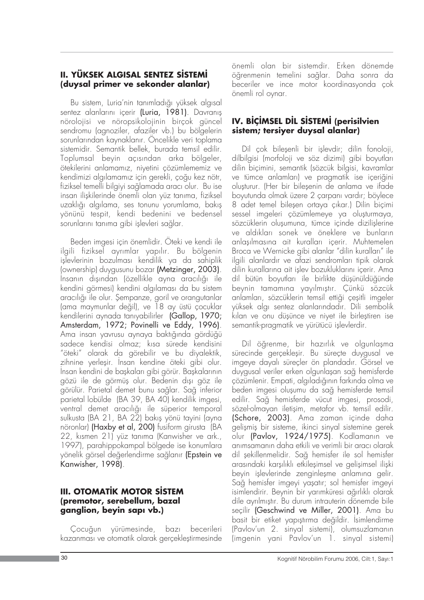#### **II. YÜKSEK ALGISAL SENTEZ SİSTEMİ (duysal primer ve sekonder alanlar)**

Bu sistem, Luria'nin tanımladığı yüksek algısal sentez alanlarını içerir (Luria, 1981). Davranış nörolojisi ve nöropsikolojinin birçok güncel sendromu (agnoziler, afaziler vb.) bu bölgelerin sorunlarından kaynaklanır. Öncelikle veri toplama sistemidir. Semantik bellek, burada temsil edilir. Toplumsal beyin açısından arka bölgeler, ötekilerini anlamamız, niyetini çözümlememiz ve kendimizi algılamamız için gerekli, çoğu kez nötr, fiziksel temelli bilgiyi sağlamada aracı olur. Bu ise insan ilişkilerinde önemli olan yüz tanıma, fiziksel uzaklığı algılama, ses tonunu yorumlama, bakış yönünü tespit, kendi bedenini ve bedensel sorunlarını tanıma gibi islevleri sağlar.

Beden imgesi için önemlidir. Öteki ve kendi ile ilgili fiziksel ayrımlar yapılır. Bu bölgenin işlevlerinin bozulması kendilik ya da sahiplik (ownership) duygusunu bozar (Metzinger, 2003). İnsanın dışından (özellikle ayna aracılığı ile kendini görmesi) kendini algılaması da bu sistem aracılığı ile olur. Şempanze, goril ve orangutanlar (ama maymunlar değil), ve 18 ay üstü çocuklar kendilerini aynada tanıyabilirler (Gallop, 1970; Amsterdam, 1972; Povinelli ve Eddy, 1996). Ama insan yavrusu aynaya baktığında gördüğü sadece kendisi olmaz; kısa sürede kendisini "öteki" olarak da görebilir ve bu diyalektik, zihnine yerleşir. Insan kendine öteki gibi olur. İnsan kendini de başkaları gibi görür. Başkalarının gözü ile de görmüş olur. Bedenin dışı göz ile görülür. Parietal demet bunu sağlar. Sağ inferior parietal lobülde (BA 39, BA 40) kendilik imgesi, ventral demet aracılığı ile süperior temporal sulkusta (BA 21, BA 22) bakış yönü tayini (ayna nöronlar) (Haxby et al, 200) fusiform girusta (BA 22, kısmen 21) yüz tanıma (Kanwisher ve ark., 1997), parahippokampal bölgede ise konumlara yönelik görsel değerlendirme sağlanır (Epstein ve Kanwisher, 1998).

### **III. OTOMATİK MOTOR SİSTEM (premotor, serebellum, bazal** ganglion, beyin sapı vb.)

Çocuğun yürümesinde, bazı becerileri kazanması ve otomatik olarak gerçekleştirmesinde

önemli olan bir sistemdir. Erken dönemde öğrenmenin temelini sağlar. Daha sonra da beceriler ve ince motor koordinasyonda çok önemli rol oynar.

## **IV. BİÇİMSEL DİL SİSTEMİ (perisilvien sistem; tersiyer duysal alanlar)**

Dil çok bileşenli bir işlevdir; dilin fonoloji, dilbilgisi (morfoloji ve söz dizimi) gibi boyutları dilin biçimini, semantik (sözcük bilgisi, kavramlar ve tümce anlamları) ve pragmatik ise içeriğini olușturur. (Her bir bileșenin de anlama ve ifade boyutunda olmak üzere 2 carpanı vardır; böylece 8 adet temel bileşen ortaya çıkar.) Dilin biçimi sessel imgeleri çözümlemeye ya oluşturmaya, sözcüklerin olusumuna, tümce içinde dizilislerine ve aldıkları sonek ve öneklere ve bunların anlasılmasına ait kuralları içerir. Muhtemelen Broca ve Wernicke gibi alanlar "dilin kuralları" ile ilgili alanlardır ve afazi sendromları tipik olarak dilin kurallarına ait islev bozukluklarını içerir. Ama dil bütün boyutları ile birlikte düşünüldüğünde beynin tamamına yayılmıştır. Çünkü sözcük anlamları, sözcüklerin temsil ettiği çeşitli imgeler yüksek algı sentez alanlarındadır. Dili sembolik kılan ve onu düsünce ve nivet ile birlestiren ise semantik-pragmatik ve yürütücü işlevlerdir.

Dil öğrenme, bir hazırlık ve olgunlaşma sürecinde gerçekleşir. Bu süreçte duygusal ve imgeye dayalı süreçler ön plandadır. Görsel ve duygusal veriler erken olgunlaşan sağ hemisferde çözümlenir. Empati, algıladığının farkında olma ve beden imgesi oluşumu da sağ hemisferde temsil edilir. Sa¤ hemisferde vücut imgesi, prosodi, sözel-olmayan iletişim, metafor vb. temsil edilir. (Schore, 2003). Ama zaman içinde daha gelişmiş bir sisteme, ikinci sinyal sistemine gerek olur (Pavlov, 1924/1975). Kodlamanın ve anımsamanın daha etkili ve verimli bir aracı olarak dil şekillenmelidir. Sağ hemisfer ile sol hemisfer arasındaki karşılıklı etkilesimsel ve gelisimsel ilişki beyin isleylerinde zenginlesme anlamına gelir. Sağ hemisfer imgeyi yaşatır; sol hemisfer imgeyi isimlendirir. Beynin bir yarımküresi ağırlıklı olarak dile ayrılmıştır. Bu durum intrauterin dönemde bile seçilir (Geschwind ve Miller, 2001). Ama bu basit bir etiket yapıstırma değildir. İsimlendirme (Pavlov'un 2. sinyal sistemi), olumsuzlamanın (imgenin yani Pavlov'un 1. sinyal sistemi)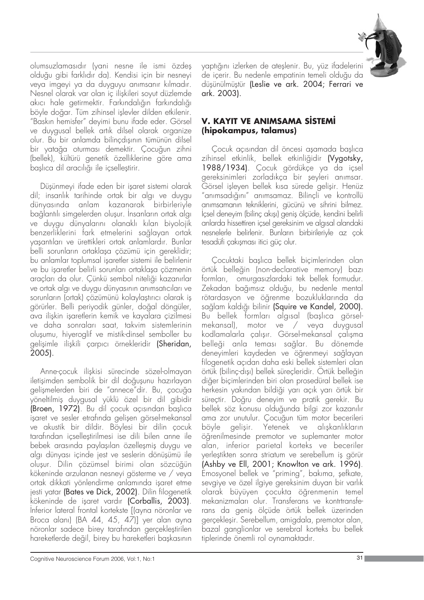

olumsuzlamasıdır (yani nesne ile ismi özdeş olduğu gibi farklıdır da). Kendisi için bir nesneyi veya imgeyi ya da duyguyu animsanır kılmadır. Nesnel olarak var olan iç ilişkileri soyut düzlemde akıcı hale getirmektir. Farkındalığın farkındalığı böyle doğar. Tüm zihinsel işlevler dilden etkilenir. "Bask›n hemisfer" deyimi bunu ifade eder. Görsel ve duygusal bellek artık dilsel olarak organize olur. Bu bir anlamda bilincdısının tümünün dilsel bir yatağa oturması demektir. Çocuğun zihni (bellek), kültürü genetik özelliklerine göre ama baslıca dil aracılığı ile icsellestirir.

Düşünmeyi ifade eden bir işaret sistemi olarak dil; insanlık tarihinde ortak bir algı ve duygu dünyasında anlam kazanarak birbirleriyle bağlantılı simgelerden oluşur. Insanların ortak algı ve duygu dünyalarını olanaklı kılan biyolojik benzerliklerini fark etmelerini sağlayan ortak yaflant›lar› ve ürettikleri ortak anlamlard›r. Bunlar belli sorunların ortaklaşa çözümü için gereklidir; bu anlamlar toplumsal isaretler sistemi ile belirlenir ve bu isaretler belirli sorunları ortaklasa çözmenin araçları da olur. Çünkü sembol niteliği kazanırlar ve ortak algı ve duygu dünyasının animsatıcıları ve sorunların (ortak) çözümünü kolaylaştırıcı olarak iş görürler. Belli periyodik günler, doğal döngüler, ava iliskin isaretlerin kemik ve kayalara çizilmesi ve daha sonraları saat, takvim sistemlerinin oluflumu, hiyeroglif ve mistik-dinsel semboller bu gelişimle ilişkili çarpıcı örnekleridir (Sheridan, 2005).

Anne-cocuk iliskisi sürecinde sözel-olmayan iletişimden sembolik bir dil doğuşunu hazırlayan gelişmelerden biri de "annece"dir. Bu, çocuğa yöneltilmiş duygusal yüklü özel bir dil gibidir (Broen, 1972). Bu dil çocuk açısından başlıca işaret ve sesler etrafında gelişen görsel-mekansal ve akustik bir dildir. Böylesi bir dilin çocuk tarafından icsellestirilmesi ise dili bilen anne ile bebek arasında paylaşılan özelleşmiş duygu ve algı dünyası içinde jest ve seslerin dönüşümü ile oluşur. Dilin çözümsel birimi olan sözcüğün kökeninde arzulanan nesneyi gösterme ve / veya ortak dikkati yönlendirme anlamında işaret etme jesti yatar (Bates ve Dick, 2002). Dilin filogenetik kökeninde de işaret vardır (Corballis, 2003). Inferior lateral frontal kortekste [(ayna nöronlar ve Broca alanı) (BA 44, 45, 47)] yer alan ayna nöronlar sadece birey tarafından gerçekleştirilen hareketlerde değil, birey bu hareketleri başkasının

yaptığını izlerken de ateşlenir. Bu, yüz ifadelerini de içerir. Bu nedenle empatinin temeli olduğu da düşünülmüştür (Leslie ve ark. 2004; Ferrari ve ark. 2003).

## **V. KAYIT VE ANIMSAMA SISTEMİ (hipokampus, talamus)**

Cocuk açısından dil öncesi asamada baslıca zihinsel etkinlik, bellek etkinliğidir (Vygotsky, 1988/1934). Çocuk gördükçe ya da içsel gereksinimleri zorladıkça bir şeyleri anımsar. Görsel işleyen bellek kısa sürede gelişir. Henüz "anımsadığını" anımsamaz. Bilinçli ve kontrollü anımsamanın tekniklerini, gücünü ve sihrini bilmez. İçsel deneyim (bilinç akışı) geniş ölçüde, kendini belirli anlarda hissettiren icsel gereksinim ve algısal alandaki nesnelerle belirlenir. Bunların birbirileriyle az çok tesadüfi çakışması itici güç olur.

Cocuktaki baslıca bellek biçimlerinden olan örtük belleğin (non-declarative memory) bazı formları, omurgasızlardaki tek bellek formudur. Zekadan bağımsız olduğu, bu nedenle mental rötardasyon ve öğrenme bozukluklarında da sağlam kaldığı bilinir (Squire ve Kandel, 2000). Bu bellek formları algısal (başlıca görselmekansal), motor ve / veya duygusal kodlamalarla çalısır. Görsel-mekansal çalışma belleği anla teması sağlar. Bu dönemde deneyimleri kaydeden ve öğrenmeyi sağlayan filogenetik aç›dan daha eski bellek sistemleri olan örtük (bilinc-dısı) bellek sürecleridir. Örtük belleğin diğer biçimlerinden biri olan prosedüral bellek ise herkesin yakından bildiği yarı açık yarı örtük bir süreçtir. Doğru deneyim ve pratik gerekir. Bu bellek söz konusu olduğunda bilgi zor kazanılır ama zor unutulur. Çocuğun tüm motor becerileri böyle gelişir. Yetenek ve alışkanlıkların öğrenilmesinde premotor ve suplemanter motor alan, inferior parietal korteks ve beceriler yerleştikten sonra striatum ve serebellum iş görür (Ashby ve Ell, 2001; Knowlton ve ark. 1996). Emosyonel bellek ve "priming", bakıma, şefkate, sevgiye ve özel ilgiye gereksinim duyan bir varlık olarak büyüyen çocukta ö¤renmenin temel mekanizmaları olur. Transferans ve kontrtransferans da geniş ölçüde örtük bellek üzerinden gerceklesir. Serebellum, amigdala, premotor alan, bazal ganglionlar ve serebral korteks bu bellek tiplerinde önemli rol oynamaktadır.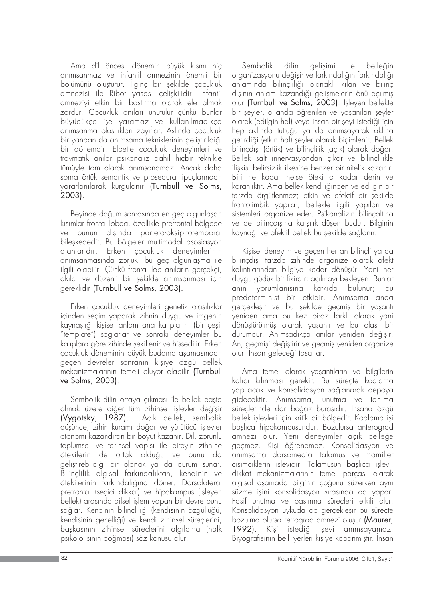Ama dil öncesi dönemin büyük kısmı hiç anımsanmaz ve infantil amnezinin önemli bir bölümünü oluşturur. İlginç bir şekilde çocukluk amnezisi ile Ribot yasası çelişkilidir. İnfantil amneziyi etkin bir bastırma olarak ele almak zordur. Cocukluk anıları unutulur çünkü bunlar büyüdükce ise yaramaz ve kullanılmadıkça animsanma olasılıkları zayıflar. Aslında çocukluk bir yandan da anımsama tekniklerinin gelistirildiği bir dönemdir. Elbette çocukluk deneyimleri ve travmatik anılar psikanaliz dahil hiçbir teknikle tümüyle tam olarak anımsanamaz. Ancak daha sonra örtük semantik ve prosedural ipuçlarından yararlanılarak kurgulanır (Turnbull ve Solms, 2003).

Beyinde doğum sonrasında en geç olgunlaşan kısımlar frontal lobda, özellikle prefrontal bölgede ve bunun dışında parieto-oksipitotemporal bileşkededir. Bu bölgeler multimodal asosiasyon alanlarıdır. Erken çocukluk deneyimlerinin anımsanmasında zorluk, bu geç olgunlaşma ile ilgili olabilir. Çünkü frontal lob anıların gerçekçi, akılcı ve düzenli bir şekilde anımsanması için gereklidir (Turnbull ve Solms, 2003).

Erken çocukluk deneyimleri genetik olasılıklar içinden seçim yaparak zihnin duygu ve imgenin kaynaştığı kişisel anlam ana kalıplarını (bir çeşit "template") sa¤larlar ve sonraki deneyimler bu kalıplara göre zihinde şekillenir ve hissedilir. Erken çocukluk döneminin büyük budama aşamasından geçen devreler sonranın kişiye özgü bellek mekanizmalarının temeli oluyor olabilir (Turnbull ve Solms, 2003).

Sembolik dilin ortaya çıkması ile bellek başta olmak üzere diğer tüm zihinsel işlevler değişir (Vygotsky, 1987). Açık bellek, sembolik düşünce, zihin kuramı doğar ve yürütücü işlevler otonomi kazandıran bir boyut kazanır. Dil, zorunlu toplumsal ve tarihsel yapısı ile bireyin zihnine ötekilerin de ortak oldu¤u ve bunu da geliştirebildiği bir olanak ya da durum sunar. Bilinclilik algısal farkındalıktan, kendinin ve ötekilerinin farkındalığına döner. Dorsolateral prefrontal (seçici dikkat) ve hipokampus (işleyen bellek) arasında dilsel işlem yapan bir devre bunu sağlar. Kendinin bilinçliliği (kendisinin özgüllüğü, kendisinin genelli¤i) ve kendi zihinsel süreçlerini, başkasının zihinsel süreçlerini algılama (halk psikolojisinin doğması) söz konusu olur.

Sembolik dilin gelisimi ile belleğin organizasyonu değişir ve farkındalığın farkındalığı anlamında bilinçliliği olanaklı kılan ve bilinç dısının anlam kazandığı gelismelerin önü açılmış olur (Turnbull ve Solms, 2003). İşleyen bellekte bir şeyler, o anda öğrenilen ve yaşanılan şeyler olarak (edilgin hal) veya insan bir sevi istediği için hep aklında tuttuğu ya da anımsayarak aklına getirdiği (etkin hal) şeyler olarak biçimlenir. Bellek bilinçdışı (örtük) ve bilinçlilik (açık) olarak doğar. Bellek salt innervasyondan çıkar ve bilinçlilikle iliskisi belirsizlik ilkesine benzer bir nitelik kazanır. Biri ne kadar netse öteki o kadar derin ve karanlıktır. Ama bellek kendiliğinden ve edilgin bir tarzda örgütlenmez; etkin ve afektif bir şekilde frontolimbik yapılar, bellekle ilgili yapıları ve sistemleri organize eder. Psikanalizin bilinçaltına ve de bilincdısına karsılık düsen budur. Bilginin kaynağı ve afektif bellek bu şekilde sağlanır.

Kişisel deneyim ve geçen her an bilinçli ya da bilinçdışı tarzda zihinde organize olarak afekt kalıntılarından bilgiye kadar dönüşür. Yani her duygu güdük bir fikirdir; açılmayı bekleyen. Bunlar anın yorumlanışına katkıda bulunur; bu predeterminist bir etkidir. Anımsama anda gerçekleşir ve bu şekilde geçmiş bir yaşantı yeniden ama bu kez biraz farklı olarak yani dönüştürülmüş olarak yaşanır ve bu olası bir durumdur. Anımsadıkça anılar yeniden değişir. An, geçmişi değiştirir ve geçmiş yeniden organize olur. Insan geleceği tasarlar.

Ama temel olarak yaşantıların ve bilgilerin kalıcı kılınması gerekir. Bu süreçte kodlama yapılacak ve konsolidasyon sağlanarak depoya gidecektir. Anımsama, unutma ve tanıma süreçlerinde dar boğaz burasıdır. İnsana özgü bellek işlevleri için kritik bir bölgedir. Kodlama işi başlıca hipokampusundur. Bozulursa anterograd amnezi olur. Yeni deneyimler açık belleğe geçmez. Kişi öğrenemez. Konsolidasyon ve animsama dorsomedial talamus ve mamiller cisimciklerin islevidir. Talamusun baslıca islevi, dikkat mekanizmalarının temel parçası olarak algısal aşamada bilginin çoğunu süzerken aynı süzme isini konsolidasyon sırasında da yapar. Pasif unutma ve bastırma süreçleri etkili olur. Konsolidasyon uykuda da gerçekleşir bu süreçte bozulma olursa retrograd amnezi olusur (Maurer, 1992). Kişi istediği şeyi anımsayamaz. Biyografisinin belli yerleri kişiye kapanmıştır. İnsan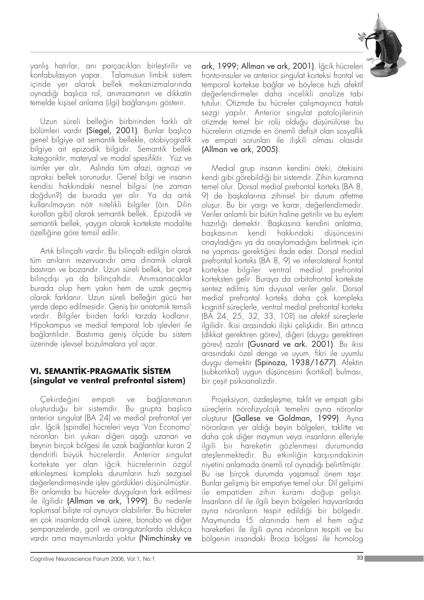

yanlış hatırlar, anı parçacıkları birleştirilir ve konfabulasyon yapar. Talamusun limbik sistem içinde yer alarak bellek mekanizmalarında oynadığı başlıca rol, anımsamanın ve dikkatin temelde kişisel anlama (ilgi) bağlanışını gösterir.

Uzun süreli belleğin birbirinden farklı alt bölümleri vardır (Siegel, 2001). Bunlar başlıca genel bilgiye ait semantik bellekle, otobiyografik bilgiye ait epizodik bilgidir. Semantik bellek kategoriktir, materyal ve modal spesifiktir. Yüz ve isimler yer alır. Aslında tüm afazi, agnozi ve apraksi bellek sorunudur. Genel bilgi ve insanın kendisi hakkındaki nesnel bilgisi (ne zaman doğdun?) de burada yer alır. Ya da artık kullan›lmayan nötr nitelikli bilgiler (örn. Dilin kuralları gibi) olarak semantik bellek. Epizodik ve semantik bellek, yaygın olarak kortekste modalite özelliğine göre temsil edilir.

Artık bilinçaltı vardır. Bu bilinçaltı edilgin olarak tüm anıların rezervuarıdır ama dinamik olarak bastıran ve bozandır. Uzun süreli bellek, bir çeşit bilinçdışı ya da bilinçaltıdır. Anımsanacaklar burada olup hem yakın hem de uzak geçmiş olarak farklanır. Uzun süreli belleğin gücü her yerde depo edilmesidir. Geniş bir anatomik temsili vardır. Bilgiler birden farklı tarzda kodlanır. Hipokampus ve medial temporal lob islevleri ile bağlantılıdır. Bastırma geniş ölçüde bu sistem üzerinde islevsel bozulmalara yol açar.

### **VI. SEMANTİK-PRAGMATİK SİSTEM (singulat ve ventral prefrontal sistem)**

Çekirdeğini empati ve bağlanmanın oluşturduğu bir sistemdir. Bu grupta başlıca anterior singulat (BA 24) ve medial prefrontal yer alır. İğcik (spindle) hücreleri veya 'Von Economo' nöronları biri yukarı diğeri aşağı uzanan ve beynin birçok bölgesi ile uzak bağlantılar kuran 2 dendritli büyük hücrelerdir. Anterior singulat kortekste yer alan iğcik hücrelerinin özgül etkinleşmesi kompleks durumların hızlı sezgisel değerlendirmesinde işlev gördükleri düşünülmüştür. Bir anlamda bu hücreler duyguların fark edilmesi ile ilgilidir (Allman ve ark, 1999). Bu nedenle toplumsal biliste rol oynuyor olabilirler. Bu hücreler en çok insanlarda olmak üzere, bonobo ve diğer flempanzelerde, goril ve orangutanlarda oldukça vardır ama maymunlarda yoktur (Nimchinsky ve ark, 1999; Allman ve ark, 2001). İğcik hücreleri fronto-insuler ve anterior singulat korteksi frontal ve temporal kortekse bağlar ve böylece hızlı afektif de¤erlendirmeler daha incelikli analize tabi tutulur. Otizmde bu hücreler çalışmayınca hatalı sezgi yapılır. Anterior singulat patolojilerinin otizmde temel bir rolü olduğu düşünülürse bu hücrelerin otizmde en önemli defisit olan sosyallik ve empati sorunları ile ilişkili olması olasıdır (Allman ve ark, 2005).

Medial grup insanın kendini öteki, ötekisini kendi gibi görebildiği bir sistemdir. Zihin kuramına temel olur. Dorsal medial prefrontal korteks (BA 8, 9) de baskalarına zihinsel bir durum atfetme oluşur. Bu bir yargı ve karar, değerlendirmedir. Veriler anlamlı bir bütün haline getirilir ve bu eylem hazırlığı demektir. Başkasına kendini anlatma, başkasının kendi hakkındaki düşüncesini onayladığını ya da onaylamadığını belirtmek için ne yapması gerektiğini ifade eder. Dorsal medial prefrontal korteks (BA 8, 9) ve inferolateral frontal kortekse bilgiler ventral medial prefrontal korteksten gelir. Buraya da orbitofrontal kortekste sentez edilmiş tüm duyusal veriler gelir. Dorsal medial prefrontal korteks daha çok kompleks kognitif süreçlerle, ventral medial prefrontal korteks (BA 24, 25, 32, 33, 10?) ise afektif süreçlerle ilgilidir. İkisi arasındaki iliski çelişkidir. Biri artınca (dikkat gerektiren görev), diğeri (duygu gerektiren görev) azalır (Gusnard ve ark. 2001). Bu ikisi arasındaki özel denge ve uyum, fikri ile uyumlu duygu demektir (Spinoza, 1938/1677). Afektin (subkortikal) uygun düşüncesini (kortikal) bulması, bir çeşit psikoanalizdir.

Projeksiyon, özdeşleşme, taklit ve empati gibi süreçlerin nörofizyolojik temelini ayna nöronlar olușturur (Gallese ve Goldman, 1999). Ayna nöronların yer aldığı beyin bölgeleri, taklitte ve daha çok diğer maymun veya insanların elleriyle ilgili bir hareketin gözlenmesi durumunda ateşlenmektedir. Bu etkinliğin karşısındakinin niyetini anlamada önemli rol oynadığı belirtilmiştir. Bu ise birçok durumda yaşamsal önem taşır. Bunlar gelişmiş bir empatiye temel olur. Dil gelişimi ile empatiden zihin kuramı doğup gelişir. Insanların dil ile ilgili beyin bölgeleri hayvanlarda ayna nöronların tespit edildiği bir bölgedir. Maymunda f5 alanında hem el hem ağız hareketleri ile ilgili ayna nöronların tespiti ve bu bölgenin insandaki Broca bölgesi ile homolog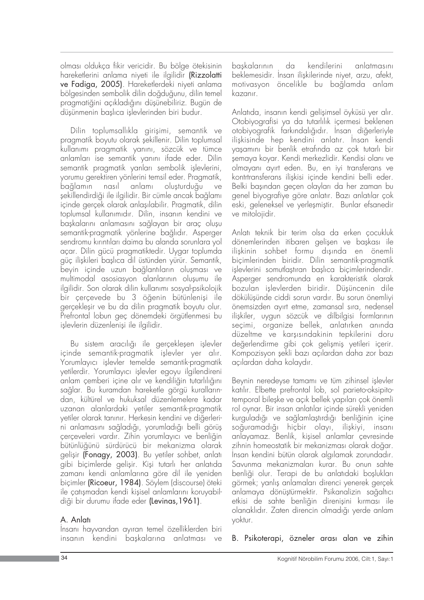olmas› oldukça fikir vericidir. Bu bölge ötekisinin hareketlerini anlama niyeti ile ilgilidir (Rizzolatti ve Fadiga, 2005). Hareketlerdeki niyeti anlama bölgesinden sembolik dilin doğduğunu, dilin temel pragmatiğini açıkladığını düşünebiliriz. Bugün de düşünmenin başlıca işlevlerinden biri budur.

Dilin toplumsallıkla girişimi, semantik ve pragmatik boyutu olarak şekillenir. Dilin toplumsal kullanımı pragmatik yanını, sözcük ve tümce anlamları ise semantik yanını ifade eder. Dilin semantik pragmatik yanları sembolik işlevlerini, yorumu gerektiren yönlerini temsil eder. Pragmatik, bağlamın nasıl anlamı oluşturduğu ve şekillendirdiği ile ilgilidir. Bir cümle ancak bağlamı içinde gerçek olarak anlaşılabilir. Pragmatik, dilin toplumsal kullanımıdır. Dilin, insanın kendini ve baskalarını anlamasını sağlayan bir arac olusu semantik-pragmatik yönlerine bağlıdır. Asperger sendromu kırıntıları daima bu alanda sorunlara yol açar. Dilin gücü pragmatiktedir. Uygar toplumda güç ilişkileri başlıca dil üstünden yürür. Semantik, beyin içinde uzun bağlantıların oluşması ve multimodal asosiasyon alanlarının oluşumu ile ilgilidir. Son olarak dilin kullanımı sosyal-psikolojik bir çerçevede bu 3 öğenin bütünlenisi ile gerçekleşir ve bu da dilin pragmatik boyutu olur. Prefrontal lobun geç dönemdeki örgütlenmesi bu işlevlerin düzenlenişi ile ilgilidir.

Bu sistem aracılığı ile gerçekleşen işlevler içinde semantik-pragmatik işlevler yer alır. Yorumlayıcı işlevler temelde semantik-pragmatik vetilerdir. Yorumlayıcı islevler egoyu ilgilendireni anlam çemberi içine alır ve kendiliğin tutarlılığını sağlar. Bu kuramdan hareketle görgü kurallarından, kültürel ve hukuksal düzenlemelere kadar uzanan alanlardaki yetiler semantik-pragmatik yetiler olarak tanınır. Herkesin kendini ve diğerlerini anlamasını sağladığı, yorumladığı belli görüş çerçeveleri vardır. Zihin yorumlayıcı ve benliğin bütünlü¤ünü sürdürücü bir mekanizma olarak gelişir (Fonagy, 2003). Bu yetiler sohbet, anlatı gibi biçimlerde gelişir. Kişi tutarlı her anlatıda zamanı kendi anlamlarına göre dil ile yeniden biçimler (Ricoeur, 1984). Söylem (discourse) öteki ile catısmadan kendi kisisel anlamlarını koruyabildiği bir durumu ifade eder (Levinas, 1961).

## A. Anlatı

İnsanı hayvandan ayıran temel özelliklerden biri insanın kendini baskalarına anlatması ve

baskalarının da kendilerini anlatmasını beklemesidir. İnsan iliskilerinde nivet, arzu, afekt, motivasyon öncelikle bu ba¤lamda anlam kazanır.

Anlatıda, insanın kendi gelişimsel öyküsü yer alır. Otobiyografisi ya da tutarlılık içermesi beklenen otobiyografik farkındalığıdır. İnsan diğerleriyle ilişkisinde hep kendini anlatır. İnsan kendi yasamını bir benlik etrafında az çok tutarlı bir şemaya koyar. Kendi merkezlidir. Kendisi olanı ve olmayanı ayırt eden. Bu, en iyi transferans ve kontrtransferans iliskisi içinde kendini belli eder. Belki başından geçen olayları da her zaman bu genel biyografiye göre anlatır. Bazı anlatılar çok eski, geleneksel ve yerleşmiştir. Bunlar efsanedir ve mitolojidir.

Anlatı teknik bir terim olsa da erken çocukluk dönemlerinden itibaren gelişen ve başkası ile ilişkinin sohbet formu dışında en önemli biçimlerinden biridir. Dilin semantik-pragmatik islevlerini somutlastıran baslıca biçimlerindendir. Asperger sendromunda en karakteristik olarak bozulan işlevlerden biridir. Düşüncenin dile dökülüşünde ciddi sorun vardır. Bu sorun önemliyi önemsizden ayırt etme, zamansal sıra, nedensel ilişkiler, uygun sözcük ve dilbilgisi formlarının seçimi, organize bellek, anlatırken anında düzeltme ve karşısındakinin tepkilerini doru değerlendirme gibi çok gelişmiş yetileri içerir. Kompozisyon şekli bazı açılardan daha zor bazı açılardan daha kolaydır.

Beynin neredeyse tamamı ve tüm zihinsel işlevler katılır. Elbette prefrontal lob, sol parieto-oksipitotemporal bileşke ve açık bellek yapıları çok önemli rol oynar. Bir insan anlatılar içinde sürekli yeniden kurguladığı ve sağlamlaştırdığı benliğinin içine soğuramadığı hiçbir olayı, ilişkiyi, insanı anlayamaz. Benlik, kişisel anlamlar çevresinde zihnin homeostatik bir mekanizması olarak doğar. Insan kendini bütün olarak algılamak zorundadır. Savunma mekanizmaları kurar. Bu onun sahte benliği olur. Terapi de bu anlatıdaki boslukları görmek; yanlış anlamaları direnci yenerek gerçek anlamaya dönüştürmektir. Psikanalizin sağaltıcı etkisi de sahte benliğin direnişini kırması ile olanaklıdır. Zaten direncin olmadığı yerde anlam yoktur.

B. Psikoterapi, özneler arası alan ve zihin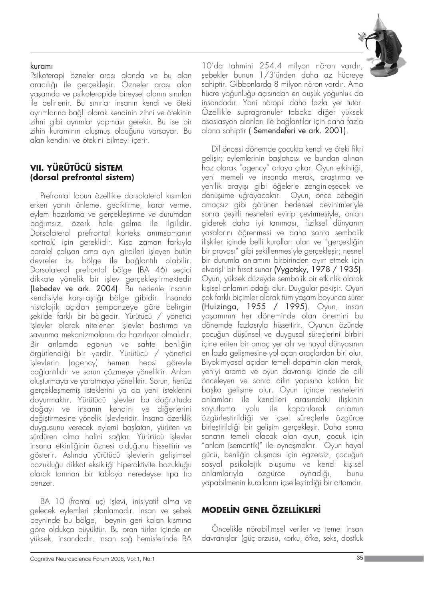#### kuramı

Psikoterapi özneler arası alanda ve bu alan aracılığı ile gerçekleşir. Özneler arası alan yasamda ve psikoterapide bireysel alanın sınırları ile belirlenir. Bu sınırlar insanın kendi ve öteki ayrımlarına bağlı olarak kendinin zihni ve ötekinin zihni gibi ayrımlar yapması gerekir. Bu ise bir zihin kuramının oluşmuş olduğunu varsayar. Bu alan kendini ve ötekini bilmeyi içerir.

## **VII. YÜRÜTÜCÜ S‹STEM (dorsal prefrontal sistem)**

Prefrontal lobun özellikle dorsolateral kısımları erken yanıtı önleme, geciktirme, karar verme, eylem hazırlama ve gerçekleştirme ve durumdan bağımsız, özerk hale gelme ile ilgilidir. Dorsolateral prefrontal korteks animsamanin kontrolü için gereklidir. Kısa zaman farkıyla paralel çalışan ama aynı girdileri işleyen bütün devreler bu bölge ile bağlantılı olabilir. Dorsolateral prefrontal bölge (BA 46) seçici dikkate yönelik bir işlev gerçekleştirmektedir (Lebedev ve ark. 2004). Bu nedenle insan›n kendisiyle karşılaştığı bölge gibidir. İnsanda histolojik açıdan şempanzeye göre belirgin flekilde farkl› bir bölgedir. Yürütücü / yönetici islevler olarak nitelenen islevler bastırma ve savunma mekanizmalarını da hazırlıyor olmalıdır. Bir anlamda egonun ve sahte benliğin örgütlendiği bir yerdir. Yürütücü / yönetici islevlerin (agency) hemen hepsi görevle bağlantılıdır ve sorun çözmeye yöneliktir. Anlam oluflturmaya ve yaratmaya yöneliktir. Sorun, henüz gerçekleşmemiş isteklerini ya da yeni isteklerini doyurmaktır. Yürütücü işlevler bu doğrultuda doğayı ve insanın kendini ve diğerlerini değistirmesine yönelik islevleridir. İnsana özerklik duygusunu verecek eylemi başlatan, yürüten ve sürdüren olma halini sağlar. Yürütücü işlevler insana etkinliğinin öznesi olduğunu hissettirir ve gösterir. Aslında yürütücü işlevlerin gelişimsel bozukluğu dikkat eksikliği hiperaktivite bozukluğu olarak tanınan bir tabloya neredeyse tıpa tıp benzer.

BA 10 (frontal uç) işlevi, inisiyatif alma ve gelecek eylemleri planlamadır. İnsan ve sebek beyninde bu bölge, beynin geri kalan kısmına göre oldukça büyüktür. Bu oran türler içinde en yüksek, insandadır. İnsan sağ hemisferinde BA



10'da tahmini 254.4 milyon nöron vardır, flebekler bunun 1/3'ünden daha az hücreye ,<br>sahiptir. Gibbonlarda 8 milyon nöron vardır. Ama hücre yoğunluğu açısından en düşük yoğunluk da insandadır. Yani nöropil daha fazla yer tutar. Özellikle supragranuler tabaka diğer yüksek asosiasyon alanları ile bağlantılar için daha fazla alana sahiptir ( Semendeferi ve ark. 2001).

Dil öncesi dönemde çocukta kendi ve öteki fikri gelişir; eylemlerinin başlatıcısı ve bundan alınan haz olarak "agency" ortaya çıkar. Oyun etkinliği, yeni memeli ve insanda merak, araştırma ve yenilik arayışı gibi öğelerle zenginleşecek ve dönüşüme uğrayacaktır. Oyun, önce bebeğin amaçs›z gibi görünen bedensel devinimleriyle sonra çeşitli nesneleri evirip çevirmesiyle, onları giderek daha iyi tanıması, fiziksel dünyanın yasalarını öğrenmesi ve daha sonra sembolik ilişkiler içinde belli kuralları olan ve "gerçekliğin bir provası" gibi şekillenmesiyle gerçekleşir; nesnel bir durumla anlamını birbirinden ayırt etmek için elverişli bir fırsat sunar (Vygotsky, 1978 / 1935). Oyun, yüksek düzeyde sembolik bir etkinlik olarak kişisel anlamın odağı olur. Duygular pekişir. Oyun çok farklı biçimler alarak tüm yaşam boyunca sürer (Huizinga, 1955 / 1995). Oyun, insan yaflam›n›n her döneminde olan önemini bu dönemde fazlas›yla hissettirir. Oyunun özünde çocuğun düşünsel ve duygusal süreçlerini birbiri içine eriten bir amaç yer alır ve hayal dünyasının en fazla gelişmesine yol açan araçlardan biri olur. Biyokimyasal açıdan temeli dopamin olan merak, yeniyi arama ve oyun davranısı içinde de dili önceleyen ve sonra dilin yapısına katılan bir başka gelişme olur. Oyun içinde nesnelerin anlamları ile kendileri arasındaki ilişkinin soyutlama yolu ile koparılarak anlamın özgürleştirildiği ve içsel süreçlerle özgürce birleştirildiği bir gelişim gerçekleşir. Daha sonra sanatın temeli olacak olan oyun, çocuk için "anlam (semantik)" ile oynaşmaktır. Oyun hayal gücü, benliğin oluşması için egzersiz, çocuğun sosyal psikolojik oluşumu ve kendi kişisel<br>anlamlarıyla özgürce oynadığı, bunu anlamlarıyla özgürce oynadığı, bunu yapabilmenin kurallarını içselleştirdiği bir ortamdır.

# **MODELİN GENEL ÖZELLİKLERİ**

Öncelikle nörobilimsel veriler ve temel insan davranışları (güç arzusu, korku, öfke, seks, dostluk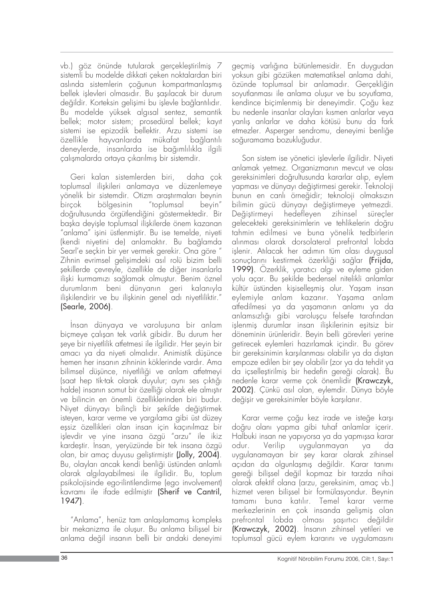vb.) göz önünde tutularak gerçekleştirilmiş 7 sistemli bu modelde dikkati çeken noktalardan biri aslında sistemlerin çoğunun kompartmanlaşmış bellek islevleri olmasıdır. Bu sasılacak bir durum değildir. Korteksin gelişimi bu işlevle bağlantılıdır. Bu modelde yüksek alg›sal sentez, semantik bellek; motor sistem; prosedüral bellek; kayıt sistemi ise epizodik bellektir. Arzu sistemi ise özellikle hayvanlarda mükafat bağlantılı deneylerde, insanlarda ise bağımlılıkla ilgili çalışmalarda ortaya çıkarılmış bir sistemdir.

Geri kalan sistemlerden biri, daha çok toplumsal ilişkileri anlamaya ve düzenlemeye yönelik bir sistemdir. Otizm araştırmaları beynin birçok bölgesinin "toplumsal beyin" doğrultusunda örgütlendiğini göstermektedir. Bir baska devisle toplumsal iliskilerde önem kazanan "anlama" işini üstlenmiştir. Bu ise temelde, niyeti (kendi niyetini de) anlamaktır. Bu bağlamda Searl'e seçkin bir yer vermek gerekir. Ona göre " Zihnin evrimsel gelişimdeki asıl rolü bizim belli flekillerde çevreyle, özellikle de di¤er insanlarla ilişki kurmamızı sağlamak olmuştur. Benim öznel durumlarım beni dünyanın geri kalanıyla ilişkilendirir ve bu ilişkinin genel adı niyetliliktir." (Searle, 2006).

Insan dünyaya ve varoluşuna bir anlam biçmeye çalışan tek varlık gibidir. Bu durum her seye bir niyetlilik atfetmesi ile ilgilidir. Her şeyin bir amacı ya da niyeti olmalıdır. Animistik düşünce hemen her insanın zihninin köklerinde vardır. Ama bilimsel düşünce, niyetliliği ve anlam atfetmeyi (saat hep tik-tak olarak duyulur; aynı ses çıktığı halde) insanın somut bir özelliği olarak ele almıştır ve bilincin en önemli özelliklerinden biri budur. Niyet dünyayı bilinçli bir şekilde değiştirmek isteyen, karar verme ve yargılama gibi üst düzey eşsiz özellikleri olan insan için kaçınılmaz bir işlevdir ve yine insana özgü "arzu" ile ikiz kardeştir. Insan, yeryüzünde bir tek insana özgü olan, bir amaç duyusu geliştirmiştir (Jolly, 2004). Bu, olayları ancak kendi benliği üstünden anlamlı olarak alg›layabilmesi ile ilgilidir. Bu, toplum psikolojisinde ego-ilintilendirme (ego involvement) kavramı ile ifade edilmistir (Sherif ve Cantril, 1947).

"Anlama", henüz tam anlasılamamıs kompleks bir mekanizma ile olusur. Bu anlama bilissel bir anlama değil insanın belli bir andaki deneyimi geçmiş varlığına bütünlemesidir. En duygudan yoksun gibi gözüken matematiksel anlama dahi, özünde toplumsal bir anlamadır. Gerçekliğin soyutlanması ile anlama oluşur ve bu soyutlama, kendince biçimlenmiş bir deneyimdir. Çoğu kez bu nedenle insanlar olayları kısmen anlarlar veya vanlıs anlarlar ve daha kötüsü bunu da fark etmezler. Asperger sendromu, deneyimi benliğe soğuramama bozukluğudur.

Son sistem ise yönetici işlevlerle ilgilidir. Niyeti anlamak yetmez. Organizmanın mevcut ve olası gereksinimleri doğrultusunda kararlar alıp, eylem yapması ve dünyayı değiştirmesi gerekir. Teknoloji bunun en canlı örneğidir; teknoloji olmaksızın bilimin gücü dünyayı değiştirmeye yetmezdi. Değiştirmeyi hedefleyen zihinsel süreçler gelecekteki gereksinimlerin ve tehlikelerin doğru tahmin edilmesi ve buna yönelik tedbirlerin alınması olarak dorsolateral prefrontal lobda işlenir. Atılacak her adımın tüm olası duygusal sonuçlarını kestirmek özerkliği sağlar (Frijda, 1999). Özerklik, yaratıcı algı ve eyleme giden yolu açar. Bu şekilde bedensel nitelikli anlamlar kültür üstünden kişiselleşmiş olur. Yaşam insan eylemiyle anlam kazanır. Yaşama anlam atfedilmesi ya da yaşamanın anlamı ya da anlamsızlığı gibi varoluşçu felsefe tarafından işlenmiş durumlar insan ilişkilerinin eşitsiz bir döneminin ürünleridir. Beyin belli görevleri yerine getirecek eylemleri hazırlamak içindir. Bu görev bir gereksinimin karşılanması olabilir ya da dıştan empoze edilen bir şey olabilir (zor ya da tehdit ya da icsellestirilmis bir hedefin gereği olarak). Bu nedenle karar verme çok önemlidir (Krawczyk, 2002). Çünkü asıl olan, eylemdir. Dünya böyle değişir ve gereksinimler böyle karşılanır.

Karar verme çoğu kez irade ve isteğe karşı doğru olanı yapma gibi tuhaf anlamlar içerir. Halbuki insan ne yapıyorsa ya da yapmışsa karar odur. Verilip uygulanmayan ya da uygulanamayan bir şey karar olarak zihinsel açıdan da olgunlaşmış değildir. Karar tanımı gereği bilissel değil kopmaz bir tarzda nihai olarak afektif olana (arzu, gereksinim, amaç vb.) hizmet veren bilissel bir formülasyondur. Beynin tamamı buna katılır. Temel karar verme merkezlerinin en çok insanda gelişmiş olan prefrontal lobda olması şaşırtıcı değildir (Krawczyk, 2002). Insanın zihinsel yetileri ve toplumsal gücü eylem kararını ve uygulamasını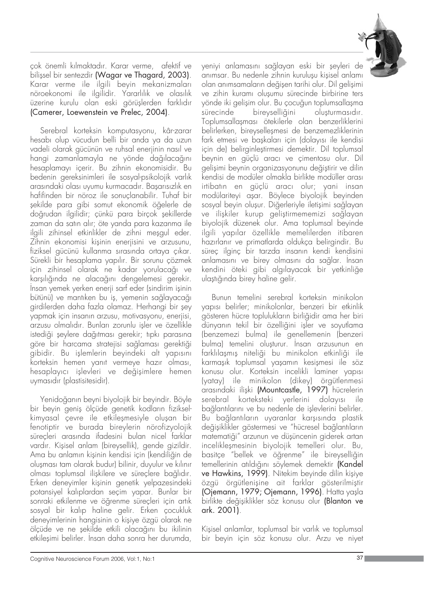

çok önemli k›lmaktad›r. Karar verme, afektif ve bilissel bir sentezdir (Wagar ve Thagard, 2003). Karar verme ile ilgili beyin mekanizmaları nöroekonomi ile ilgilidir. Yararlılık ve olasılık üzerine kurulu olan eski görüşlerden farklıdır (Camerer, Loewenstein ve Prelec, 2004).

Serebral korteksin komputasyonu, kâr-zarar hesab› olup vücudun belli bir anda ya da uzun vadeli olarak gücünün ve ruhsal enerjinin nasıl ve hangi zamanlamayla ne yönde dağılacağını hesaplamayı içerir. Bu zihnin ekonomisidir. Bu bedenin gereksinimleri ile sosyal-psikolojik varlık arasındaki olası uyumu kurmacadır. Başarısızlık en hafifinden bir nöroz ile sonuçlanabilir. Tuhaf bir flekilde para gibi somut ekonomik ö¤elerle de doğrudan ilgilidir; çünkü para birçok şekillerde zaman da satın alır; öte yanda para kazanma ile ilgili zihinsel etkinlikler de zihni meşgul eder. Zihnin ekonomisi kişinin enerjisini ve arzusunu, fiziksel gücünü kullanma sırasında ortaya çıkar. Sürekli bir hesaplama yapılır. Bir sorunu çözmek için zihinsel olarak ne kadar yorulacağı ve karşılığında ne alacağını dengelemesi gerekir. Insan yemek yerken enerji sarf eder (sindirim işinin bütünü) ve mantıken bu iş, yemenin sağlayacağı girdilerden daha fazla olamaz. Herhangi bir şey vapmak için insanın arzusu, motivasyonu, enerjisi, arzusu olmalıdır. Bunları zorunlu işler ve özellikle istediği şeylere dağıtması gerekir; tıpkı parasına göre bir harcama stratejisi sağlaması gerektiği gibidir. Bu işlemlerin beyindeki alt yapısını korteksin hemen yanıt vermeye hazır olması, hesaplayıcı islevleri ve değisimlere hemen uymasıdır (plastisitesidir).

Yenidoğanın beyni biyolojik bir beyindir. Böyle bir beyin geniş ölçüde genetik kodların fizikselkimyasal çevre ile etkileşmesiyle oluşan bir fenotiptir ve burada bireylerin nörofizyolojik sürecleri arasında ifadesini bulan nicel farklar vardır. Kişisel anlam (bireysellik), gende gizildir. Ama bu anlamın kişinin kendisi için (kendiliğin de olusması tam olarak budur) bilinir, duyulur ve kılınır olması toplumsal iliskilere ve süreçlere bağlıdır. Erken deneyimler kişinin genetik yelpazesindeki potansiyel kalıplardan seçim yapar. Bunlar bir sonraki etkilenme ve öğrenme süreçleri için artık sosyal bir kalıp haline gelir. Erken çocukluk deneyimlerinin hangisinin o kisiye özgü olarak ne ölçüde ve ne şekilde etkili olacağını bu ikilinin etkilesimi belirler. İnsan daha sonra her durumda, yeniyi anlamasını sağlayan eski bir şeyleri de anımsar. Bu nedenle zihnin kuruluşu kişisel anlamı olan anımsamaların değişen tarihi olur. Dil gelişimi ve zihin kuramı olusumu sürecinde birbirine ters yönde iki gelişim olur. Bu çocuğun toplumsallaşma sürecinde bireyselliğini oluşturmasıdır. Toplumsallasması ötekilerle olan benzerliklerini belirlerken, bireyselleşmesi de benzemezliklerinin fark etmesi ve baskaları için (dolayısı ile kendisi için de) belirginleştirmesi demektir. Dil toplumsal beynin en güçlü arac› ve çimentosu olur. Dil gelisimi beynin organizasyonunu değistirir ve dilin kendisi de modüler olmakla birlikte modüller arası irtibatın en güçlü aracı olur; yani insan modülariteyi aşar. Böylece biyolojik beyinden sosyal beyin oluşur. Diğerleriyle iletişimi sağlayan ve ilişkiler kurup geliştirmememizi sağlayan biyolojik düzenek olur. Ama toplumsal beyinde ilgili yapılar özellikle memelilerden itibaren hazırlanır ve primatlarda oldukça belirgindir. Bu süreç ilginç bir tarzda insanın kendi kendisini anlamasını ve birey olmasını da sağlar. İnsan kendini öteki gibi algılayacak bir yetkinliğe ulaştığında birey haline gelir.

Bunun temelini serebral korteksin minikolon yapısı belirler; minikolonlar, benzeri bir etkinlik gösteren hücre toplulukların birliğidir ama her biri dünyanın tekil bir özelliğini işler ve soyutlama (benzemezi bulma) ile genellemenin (benzeri bulma) temelini oluşturur. İnsan arzusunun en farklılaşmış niteliği bu minikolon etkinliği ile karmaşık toplumsal yaşamın kesişmesi ile söz konusu olur. Korteksin incelikli laminer yapısı (yatay) ile minikolon (dikey) örgütlenmesi arasındaki ilişki (Mountcastle, 1997) hücrelerin serebral korteksteki yerlerini dolayısı ile bağlantılarını ve bu nedenle de işlevlerini belirler. Bu bağlantıların uyaranlar karşısında plastik değişiklikler göstermesi ve "hücresel bağlantıların matematiği" arzunun ve düşüncenin giderek artan incelikleşmesinin biyolojik temelleri olur. Bu, basitçe "bellek ve öğrenme" ile bireyselliğin temellerinin atıldığını söylemek demektir (Kandel ve Hawkins, 1999). Nitekim beyinde dilin kisiye özgü örgütlenişine ait farklar gösterilmiştir (Ojemann, 1979; Ojemann, 1996). Hatta yaşla birlikte değişiklikler söz konusu olur (Blanton ve ark. 2001).

Kişisel anlamlar, toplumsal bir varlık ve toplumsal bir beyin için söz konusu olur. Arzu ve niyet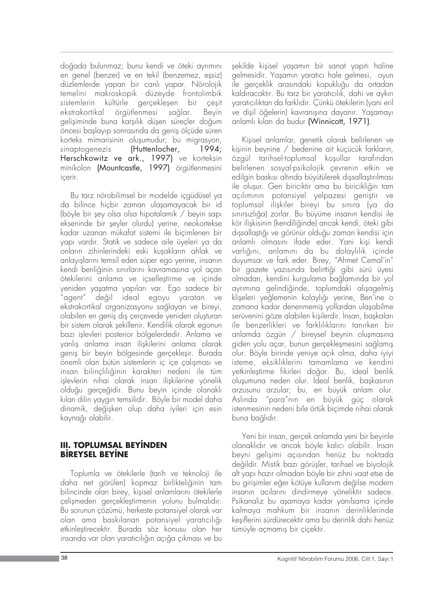doğada bulunmaz; bunu kendi ve öteki ayrımını en genel (benzer) ve en tekil (benzemez, essiz) düzlemlerde yapan bir canlı yapar. Nörolojik temelini makroskopik düzeyde frontolimbik sistemlerin kültürle gerçekleşen bir çeşit ekstrakortikal örgütlenmesi sağlar. Beyin gelisiminde buna karsılık düsen sürecler doğum öncesi başlayıp sonrasında da geniş ölçüde süren korteks mimarisinin oluşumudur; bu migrasyon, sinaptogenezis (Huttenlocher, 1994; Herschkowitz ve ark., 1997) ve korteksin minikolon (Mountcastle, 1997) örgütlenmesini içerir.

Bu tarz nörobilimsel bir modelde içgüdüsel ya da bilince hiçbir zaman ulaşamayacak bir id (böyle bir şey olsa olsa hipotalamik  $/$  beyin sapı ekseninde bir seyler olurdu) yerine, neokortekse kadar uzanan mükafat sistemi ile biçimlenen bir yap› vard›r. Statik ve sadece aile üyeleri ya da onların zihinlerindeki eski kuşakların ahlak ve anlayışlarını temsil eden süper ego yerine, insanın kendi benliğinin sınırlarını kavramasına yol açan ötekilerini anlama ve içselleştirme ve içinde yeniden yaşatma yapıları var. Ego sadece bir "agent" de¤il ideal egoyu yaratan ve ekstrakortikal organizasyonu sağlayan ve bireyi, olabilen en genis dis cercevede yeniden olusturan bir sistem olarak şekillenir. Kendilik olarak egonun bazı işlevleri posterior bölgelerdedir. Anlama ve yanlış anlama insan ilişkilerini anlama olarak geniş bir beyin bölgesinde gerçekleşir. Burada önemli olan bütün sistemlerin iç içe çalışması ve insan bilincliliğinin karakteri nedeni ile tüm işlevlerin nihai olarak insan ilişkilerine yönelik olduğu gerçeğidir. Bunu beyin içinde olanaklı kılan dilin yaygın temsilidir. Böyle bir model daha dinamik, değişken olup daha iyileri için esin kaynağı olabilir.

#### **III. TOPLUMSAL BEYİNDEN BIREYSEL BEYINE**

Toplumla ve ötekilerle (tarih ve teknoloji ile daha net görülen) kopmaz birlikteliğinin tam bilincinde olan birey, kişisel anlamlarını ötekilerle çelişmeden gerçekleştirmenin yolunu bulmalıdır. Bu sorunun çözümü, herkeste potansiyel olarak var olan ama baskılanan potansiyel yaratıcılığı etkinlefltirecektir. Burada söz konusu olan her insanda var olan yaratıcılığın açığa çıkması ve bu

şekilde kişisel yaşamın bir sanat yapıtı haline gelmesidir. Yaşamın yaratıcı hale gelmesi, oyun ile gerçeklik arasındaki kopukluğu da ortadan kaldıracaktır. Bu tarz bir yaratıcılık, dahi ve aykırı yaratıcılıktan da farklıdır. Çünkü ötekilerin (yani eril ve dişil öğelerin) kavranışına dayanır. Yaşamayı anlaml› k›lan da budur (Winnicott, 1971).

Kişisel anlamlar, genetik olarak belirlenen ve kişinin beynine / bedenine ait küçücük farkların, özgül tarihsel-toplumsal koşullar tarafından belirlenen sosyal-psikolojik çevrenin etkin ve edilgin baskısı altında büyütülerek dışsallaştırılması ile oluşur. Gen biriciktir ama bu biricikliğin tam açılımının potansiyel yelpazesi geniştir ve toplumsal ilişkiler bireyi bu sınıra (ya da sınırsızlığa) zorlar. Bu büyüme insanın kendisi ile kör iliskisinin (kendiliğinde) ancak kendi, öteki gibi dışsallaştığı ve görünür olduğu zaman kendisi için anlamlı olmasını ifade eder. Yani kişi kendi varlığını, anlamını da bu dolaylılık içinde duyumsar ve fark eder. Birey, "Ahmet Cemal'in" bir gazete yazısında belirttiği gibi sürü üyesi olmadan, kendini kurgulama bağlamında bir yol ayrımına gelindiğinde, toplumdaki alışagelmiş klişeleri yeğlemenin kolaylığı yerine, Ben'ine o zamana kadar denenmemiş yollardan ulaşabilme serüvenini göze alabilen kisilerdir. İnsan, baskaları ile benzerlikleri ve farklılıklarını tanırken bir anlamda özgün / bireysel beynin oluşmasına giden yolu açar, bunun gerçekleşmesini sağlamış olur. Böyle birinde yeniye açık olma, daha iyiyi isteme, eksikliklerini tamamlama ve kendini yetkinleştirme fikirleri doğar. Bu, ideal benlik oluşumuna neden olur. İdeal benlik, başkasının arzusunu arzular; bu, en büyük anlam olur. Aslında "para"nın en büyük güç olarak istenmesinin nedeni bile örtük biçimde nihai olarak buna bağlıdır.

Yeni bir insan, gerçek anlamda yeni bir beyinle olanaklıdır ve ancak böyle kalıcı olabilir. Insan beyni gelişimi açısından henüz bu noktada değildir. Mistik bazı görüsler, tarihsel ve biyolojik alt yap› haz›r olmadan böyle bir zihni vaat etse de bu girişimler eğer kötüye kullanım değilse modern insanın acılarını dindirmeye yöneliktir sadece. Psikanaliz bu aşamaya kadar yanılsama içinde kalmaya mahkum bir insanın derinliklerinde kesiflerini sürdürecektir ama bu derinlik dahi henüz tümüyle açmamış bir çiçektir.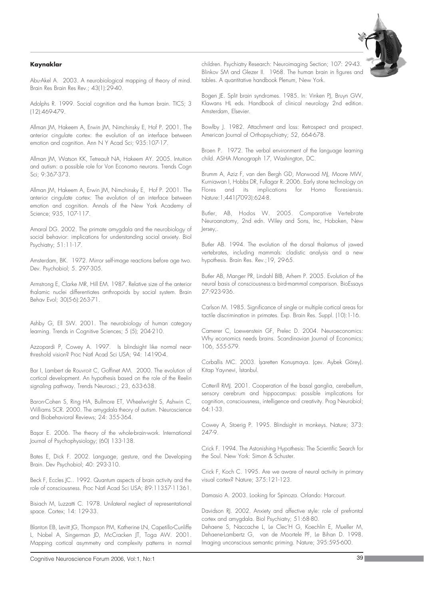#### **Kaynaklar**

Abu-Akel A. 2003. A neurobiological mapping of theory of mind. Brain Res Brain Res Rev.; 43(1):29-40.

Adolphs R. 1999. Social cognition and the human brain. TICS; 3 (12):469-479.

Allman JM, Hakeem A, Erwin JM, Nimchinsky E, Hof P. 2001. The anterior cingulate cortex: the evolution of an interface between emotion and cognition. Ann N Y Acad Sci; 935:107-17.

Allman JM, Watson KK, Tetreault NA, Hakeem AY. 2005. Intuition and autism: a possible role for Von Economo neurons. Trends Cogn Sci; 9:367-373.

Allman JM, Hakeem A, Erwin JM, Nimchinsky E, Hof P. 2001. The anterior cingulate cortex: The evolution of an interface between emotion and cognition. Annals of the New York Academy of Science; 935, 107-117.

Amaral DG. 2002. The primate amygdala and the neurobiology of social behavior: implications for understanding social anxiety. Biol Psychiatry; 51:11-17.

Amsterdam, BK. 1972. Mirror self-image reactions before age two. Dev. Psychobiol; 5. 297-305.

Armstrong E, Clarke MR, Hill EM. 1987. Relative size of the anterior thalamic nuclei differentiates anthropoids by social system. Brain Behav Evol; 30(5-6):263-71.

Ashby G, Ell SW. 2001. The neurobiology of human category learning. Trends in Cognitive Sciences; 5 (5); 204-210.

Azzopardi P, Cowey A. 1997. Is blindsight like normal nearthreshold vision? Proc Natl Acad Sci USA; 94: 14190-4.

Bar I, Lambert de Rouvroit C, Goffinet AM. 2000. The evolution of cortical development. An hypothesis based on the role of the Reelin signaling pathway. Trends Neurosci.; 23, 633-638.

Baron-Cohen S, Ring HA, Bullmore ET, Wheelwright S, Ashwin C, Williams SCR. 2000. The amygdala theory of autism. Neuroscience and Biobehavioral Reviews; 24: 355-364.

Basar E. 2006. The theory of the whole-brain-work. International Journal of Psychophysiology; (60) 133-138.

Bates E, Dick F. 2002. Language, gesture, and the Developing Brain. Dev Psychobiol; 40: 293-310.

Beck F, Eccles JC.. 1992. Quantum aspects of brain activity and the role of consciousness. Proc Natl Acad Sci USA; 89:11357-11361.

Bisiach M, Luzzatti C. 1978. Unilateral neglect of representational space. Cortex; 14: 129-33.

Blanton EB, Levitt JG, Thompson PM, Katherine LN, Capetillo-Cunliffe L, Nobel A, Singerman JD, McCracken JT, Toga AW. 2001. Mapping cortical asymmetry and complexity patterns in normal children. Psychiatry Research: Neuroimaging Section; 107: 29-43. Blinkov SM and Glezer II. 1968. The human brain in figures and tables. A quantitative handbook Plenum, New York.

Bogen JE. Split brain syndromes. 1985. In: Vinken PJ, Bruyn GW, Klawans HL eds. Handbook of clinical neurology 2nd edition. Amsterdam, Elsevier.

Bowlby J. 1982. Attachment and loss: Retrospect and prospect. American Journal of Orthopsychiatry; 52, 664-678.

Broen P. 1972. The verbal environment of the language learning child. ASHA Monograph 17, Washington, DC.

Brumm A, Aziz F, van den Bergh GD, Morwood MJ, Moore MW, Kurniawan I, Hobbs DR, Fullagar R. 2006. Early stone technology on Flores and its implications for Homo floresiensis. Nature:1;441(7093):624-8.

Butler, AB, Hodos W. 2005. Comparative Vertebrate Neuroanatomy, 2nd edn. Wiley and Sons, Inc, Hoboken, New Jersey,.

Butler AB. 1994. The evolution of the dorsal thalamus of jawed vertebrates, including mammals: cladistic analysis and a new hypothesis. Brain Res. Rev.;19, 29-65.

Butler AB, Manger PR, Lindahl BIB, Arhem P. 2005. Evolution of the neural basis of consciousness:a bird-mammal comparison. BioEssays 27:923-936.

Carlson M. 1985. Significance of single or multiple cortical areas for tactile discrimination in primates. Exp. Brain Res. Suppl. (10):1-16.

Camerer C, Loewenstein GF, Prelec D. 2004. Neuroeconomics: Why economics needs brains. Scandinavian Journal of Economics; 106, 555-579.

Corballis MC. 2003. İşaretten Konuşmaya. (çev. Aybek Görey). Kitap Yayınevi, İstanbul.

Cotterill RMJ. 2001. Cooperation of the basal ganglia, cerebellum, sensory cerebrum and hippocampus: possible implications for cognition, consciousness, intelligence and creativity. Prog Neurobiol; 64:1-33.

Cowey A, Stoerig P. 1995. Blindsight in monkeys. Nature; 373: 247-9.

Crick F. 1994. The Astonishing Hypothesis: The Scientific Search for the Soul. New York: Simon & Schuster.

Crick F, Koch C. 1995. Are we aware of neural activity in primary visual cortex? Nature; 375:121-123.

Damasio A. 2003. Looking for Spinoza. Orlando: Harcourt.

Davidson RJ. 2002. Anxiety and affective style: role of prefrontal cortex and amygdala. Biol Psychiatry; 51:68-80.

Dehaene S, Naccache L, Le Clec'H G, Koechlin E, Mueller M, Dehaene-Lambertz G, van de Moortele PF, Le Bihan D. 1998. Imaging unconscious semantic priming. Nature; 395:595-600.



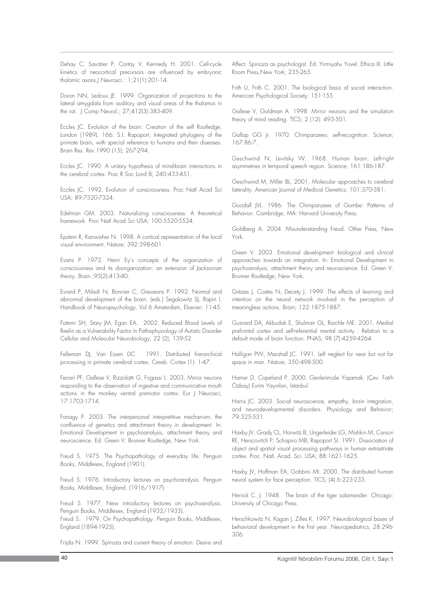Dehay C, Savatier P, Cortay V, Kennedy H. 2001. Cell-cycle kinetics of neocortical precursors are influenced by embryonic thalamic axons.J Neurosci.: 1;21(1):201-14.

Doron NN, Ledoux JE. 1999. Organization of projections to the lateral amygdala from auditory and visual areas of the thalamus in the rat. J Comp Neurol.; 27;412(3):383-409.

Eccles JC. Evolution of the brain: Creation of the self Routledge, London (1989). 166. S.I. Rapoport, Integrated phylogeny of the primate brain, with special reference to humans and their diseases. Brain Res. Rev.1990 (15); 267-294.

Eccles JC. 1990. A unitary hypothesis of mind-brain interactions in the cerebral cortex. Proc R Soc Lond B; 240:433-451.

Eccles JC. 1992. Evolution of consciousness. Proc Natl Acad Sci USA; 89:7320-7324.

Edelman GM. 2003. Naturalizing consciousness: A theoretical framework. Proc Natl Acad Sci USA; 100:5520-5524.

Epstein R, Kanwisher N. 1998. A cortical representation of the local visual environment. Nature; 392:598-601.

Evans P. 1972. Henri Ey's concepts of the organization of consciousness and its disorganization: an extension of Jacksonian theory. Brain.;95(2):413-40.

Evrard P, Miladi N, Bonnier C, Gressesns P. 1992. Normal and abnormal development of the brain. (eds.) Segalowitz SJ, Rapin I. Handbook of Neuropsychology. Vol 6 Amsterdam, Elsevier; 11-45.

Fatemi SH, Stary JM, Egan EA. 2002. Reduced Blood Levels of Reelin as a Vulnerability Factor in Pathophysiology of Autistic Disorder Cellular and Molecular Neurobiology; 22 (2), 139-52.

Felleman DJ, Van Essen DC. 1991. Distributed hierarchical processing in primate cerebral cortex. Cereb. Cortex (1): 1-47.

Ferrari PF, Gallese V, Rizzolatti G, Fogassi L. 2003. Mirror neurons responding to the observation of ingestive and communicative mouth actions in the monkey ventral premotor cortex. Eur J Neurosci, 17:1703-1714.

Fonagy P. 2003. The interpersonal interpretitive mechanism: the confluence of genetics and attachment theory in development. In: Emotional Development in psychoanalysis, attachment theory and neuroscience. Ed. Green V. Brunner Routledge, New York.

Freud S. 1975. The Psychopathology of everyday life. Penguin Books, Middlesex, England (1901).

Freud S. 1976. Introductory lectures on psychoanalysis. Penguin Books, Middlesex, England. (1916/1917).

Freud S. 1977. New introductory lectures on psychoanalysis. Penguin Books, Middlesex, England (1932/1933).

Freud S. 1979. On Psychopathology. Penguin Books, Middlesex, England (1894-1925).

Frijda N. 1999. Spinoza and current theory of emotion. Desire and

Affect. Spinoza as psychologist. Ed. Yirmiyahu Yovel. Ethica III. Little Room Press,New York; 235-265.

Frith U, Frith C. 2001. The biological basis of social interaction. American Psychological Society; 151-155.

Gallese V, Goldman A. 1998. Mirror neurons and the simulation theory of mind reading. TICS; 2 (12): 493-501.

Gallop GG Jr. 1970. Chimpanzees: self-recognition. Science; 167:86-7.

Geschwind N, Levitsky W. 1968. Human brain: Left-right asymmetries in temporal speech region. Science; 161:186-187.

Geschwind M, Miller BL. 2001. Molecular approaches to cerebral laterality. American Journal of Medical Genetics; 101:370-381.

Goodall JVL. 1986. The Chimpanzees of Gombe: Patterns of Behavior. Cambridge, MA: Harvard University Press.

Goldberg A. 2004. Misunderstanding Freud. Other Press, New York.

Green V. 2003. Emotional development -biological and clinical approaches- towards an integration. In: Emotional Development in psychoanalysis, attachment theory and neuroscience. Ed. Green V. Brunner Routledge, New York.

Grèzes J, Costes N, Decety J. 1999. The effects of learning and intention on the neural network involved in the perception of meaningless actions. Brain; 122:1875-1887.

Gusnard DA, Akbudak E, Shulman GL, Raichle ME. 2001. Medial prefrontal cortex and self-referential mental activity : Relation to a default mode of brain function. PNAS; 98 (7):4259-4264.

Halligan PW, Marshall JC. 1991. Left neglect for near but not far space in man. Nature; 350:498-500.

Hamer D, Copeland P. 2000. Genlerimizle Yaşamak. (Çev. Fatih Özbay) Evrim Yayınları, İstanbul.

Harris JC. 2003. Social neuroscience, empathy, brain integration, and neurodevelopmental disorders. Physiology and Behavior; 79:525-531.

Haxby JV, Grady CL, Horwitz B, Ungerleider LG, Mishkin M, Carson RE, Herscovitch P, Schapiro MB, Rapoport SI. 1991. Dissociation of object and spatial visual processing pathways in human extrastriate cortex. Proc. Natl. Acad. Sci. USA; 88:1621-1625.

Haxby JV, Hoffman EA, Gobbini MI. 2000. The distributed human neural system for face perception. TICS; (4) 6:223-233.

Herrick C. J. 1948. The brain of the tiger salamander. Chicago: University of Chicago Press.

Herschkowitz N, Kagan J, Zilles K. 1997. Neurobiological bases of behavioral development in the first year. Neuropediatrics; 28:296- 306.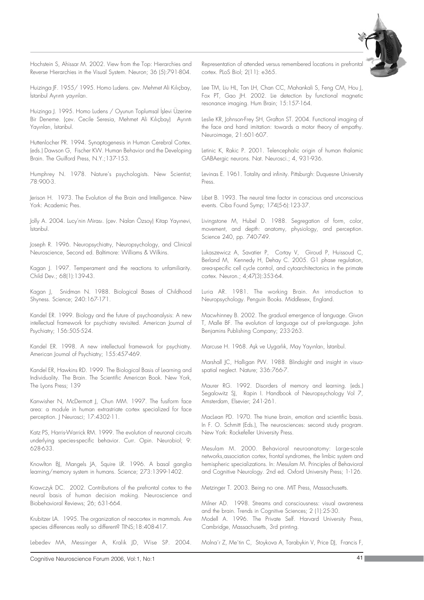Hochstein S, Ahissar M. 2002. View from the Top: Hierarchies and Reverse Hierarchies in the Visual System. Neuron; 36 (5):791-804.

Huizinga JF. 1955/1995. Homo Ludens. çev. Mehmet Ali Kılıçbay, İstanbul Ayrıntı yayınları.

Huizinga J. 1995. Homo Ludens / Oyunun Toplumsal İşlevi Üzerine Bir Deneme. (çev. Cecile Seresia, Mehmet Ali Kılıçbay) Ayrıntı Yayınları, İstanbul.

Huttenlocher PR. 1994. Synaptogenesis in Human Cerebral Cortex. (eds.) Dawson G, Fischer KW. Human Behavior and the Developing Brain. The Guilford Press, N.Y.;137-153.

Humphrey N. 1978. Nature's psychologists. New Scientist; 78:900-3.

Jerison H. 1973. The Evolution of the Brain and Intelligence. New York: Academic Pres.

Jolly A. 2004. Lucy'nin Mirası. (çev. Nalan Özsoy) Kitap Yayınevi, İstanbul

Joseph R. 1996. Neuropsychiatry, Neuropsychology, and Clinical Neuroscience, Second ed. Baltimore: Williams & Wilkins.

Kagan J. 1997. Temperament and the reactions to unfamiliarity. Child Dev.; 68(1):139-43.

Kagan J, Snidman N. 1988. Biological Bases of Childhood Shyness. Science; 240:167-171.

Kandel ER. 1999. Biology and the future of psychoanalysis: A new intellectual framework for psychiatry revisited. American Journal of Psychiatry; 156:505-524.

Kandel ER. 1998. A new intellectual framework for psychiatry. American Journal of Psychiatry; 155:457-469.

Kandel ER, Hawkins RD. 1999. The Biological Basis of Learning and Individuality. The Brain. The Scientific American Book. New York, The Lyons Press; 139

Kanwisher N, McDermott J, Chun MM. 1997. The fusiform face area: a module in human extrastriate cortex specialized for face perception. J Neurosci; 17:4302-11.

Katz PS, Harris-Warrick RM. 1999. The evolution of neuronal circuits underlying species-specific behavior. Curr. Opin. Neurobiol; 9: 628-633.

Knowlton BJ, Mangels JA, Squire LR. 1996. A basal ganglia learning/memory system in humans. Science; 273:1399-1402.

Krawczyk DC. 2002. Contributions of the prefrontal cortex to the neural basis of human decision making. Neuroscience and Biobehavioral Reviews; 26; 631-664.

Krubitzer LA. 1995. The organization of neocortex in mammals. Are species differences really so different? TINS;18:408-417.

Lebedev MA, Messinger A, Kralik JD, Wise SP. 2004.

Representation of attended versus remembered locations in prefrontal cortex. PLoS Biol; 2(11): e365.

Lee TM, Liu HL, Tan LH, Chan CC, Mahankali S, Feng CM, Hou J, Fox PT, Gao JH. 2002. Lie detection by functional magnetic resonance imaging. Hum Brain; 15:157-164.

Leslie KR, Johnson-Frey SH, Grafton ST. 2004. Functional imaging of the face and hand imitation: towards a motor theory of empathy. Neuroimage, 21:601-607.

Letinic K, Rakic P. 2001. Telencephalic origin of human thalamic GABAergic neurons. Nat. Neurosci.; 4, 931-936.

Levinas E. 1961. Totality and infinity. Pittsburgh: Duquesne University Press.

Libet B. 1993. The neural time factor in conscious and unconscious events. Ciba Found Symp; 174(5-6):123-37.

Livingstone M, Hubel D. 1988. Segregation of form, color, movement, and depth: anatomy, physiology, and perception. Science 240, pp. 740-749.

Lukaszewicz A, Savatier P, Cortay V, Giroud P, Huissoud C, Berland M, Kennedy H, Dehay C. 2005. G1 phase regulation, area-specific cell cycle control, and cytoarchitectonics in the primate cortex. Neuron.; 4;47(3):353-64.

Luria AR. 1981. The working Brain. An introduction to Neuropsychology. Penguin Books. Middlesex, England.

Macwhinney B. 2002. The gradual emergence of language. Givon T, Malle BF. The evolution of language out of pre-language. John Benjamins Publishing Company; 233-263.

Marcuse H. 1968. Ask ve Uygarlık, May Yayınları, İstanbul.

Marshall JC, Halligan PW. 1988. Blindsight and insight in visuospatial neglect. Nature; 336:766-7.

Maurer RG. 1992. Disorders of memory and learning. (eds.) Segalowitz SJ, Rapin I. Handbook of Neuropsychology Vol 7, Amsterdam, Elsevier; 241-261.

MacLean PD. 1970. The triune brain, emotion and scientific basis. In F. O. Schmitt (Eds.), The neurosciences: second study program. New York: Rockefeller University Press.

Mesulam M. 2000. Behavioral neuroanatomy: Large-scale networks,association cortex, frontal syndromes, the limbic system and hemispheric specializations. In: Mesulam M. Principles of Behavioral and Cognitive Neurology. 2nd ed. Oxford University Press; 1-126.

Metzinger T. 2003. Being no one. MIT Press, Massachusetts.

Cambridge, Massachusetts, 3rd printing.

Milner AD. 1998. Streams and consciousness: visual awareness and the brain. Trends in Cognitive Sciences; 2 (1):25-30. Modell A. 1996. The Private Self. Harvard University Press,

Molna´r Z, Me´tin C, Stoykova A, Tarabykin V, Price DJ, Francis F,

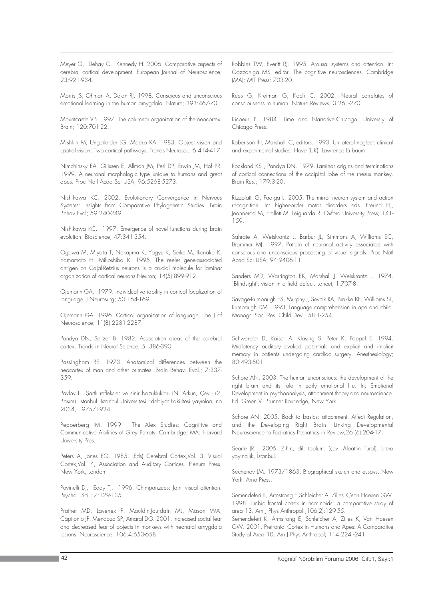Meyer G, Dehay C, Kennedy H. 2006. Comparative aspects of cerebral cortical development. European Journal of Neuroscience; 23:921-934.

Morris JS, Ohman A, Dolan RJ. 1998. Conscious and unconscious emotional learning in the human amygdala. Nature; 393:467-70.

Mountcastle VB. 1997. The columnar organization of the neocortex. Brain; 120:701-22.

Mishkin M, Ungerleider LG, Macko KA. 1983. Object vision and spatial vision: Two cortical pathways. Trends Neurosci.; 6:414-417.

Nimchinsky EA, Gilissen E, Allman JM, Perl DP, Erwin JM, Hof PR. 1999. A neuronal morphologic type unique to humans and great apes. Proc Natl Acad Sci USA, 96:5268-5273.

Nishikawa KC. 2002. Evolutionary Convergence in Nervous Systems: Insights from Comparative Phylogenetic Studies. Brain Behav Evol; 59:240-249 .

Nishikawa KC. 1997. Emergence of novel functions during brain evolution. Bioscience; 47:341-354.

Ogawa M, Miyata T, Nakajima K, Yagyu K, Seike M, Ikenaka K, Yamamoto H, Mikoshiba K. 1995. The reeler gene-associated antigen on Cajal-Retzius neurons is a crucial molecule for laminar organization of cortical neurons.Neuron; 14(5):899-912.

Ojemann GA. 1979. Individual variability in cortical localization of language. J Neurosurg; 50:164-169.

Ojemann GA. 1996. Cortical organization of language. The J of Neuroscience; 11(8):2281-2287.

Pandya DN, Seltzer B. 1982. Association areas of the cerebral cortex. Trends in Neural Science; 5, 386-390.

Passingham RE. 1973. Anatomical differences between the neocortex of man and other primates. Brain Behav. Evol.; 7:337- 359.

Pavlov I. Şartlı refleksler ve sinir bozuklukları (N. Arkun, Çev.) (2. Basım). İstanbul: İstanbul Üniversitesi Edebiyat Fakültesi yayınları, no 2034, 1975/1924.

Pepperberg IM. 1999. The Alex Studies: Cognitive and Communicative Abilities of Grey Parrots. Cambridge, MA: Harvard University Pres.

Peters A, Jones EG. 1985. (Eds) Cerebral Cortex, Vol. 3, Visual Cortex;Vol. 4, Association and Auditory Cortices. Plenum Press, New York, London.

Povinelli DJ, Eddy TJ. 1996. Chimpanzees: Joint visual attention. Psychol. Sci.; 7:129-135.

Prather MD, Lavenex P, Mauldin-Jourdain ML, Mason WA, Capitonio JP, Mendoza SP, Amaral DG. 2001. Increased social fear and decreased fear of objects in monkeys with neonatal amygdala lesions. Neuroscience; 106:4:653-658.

Robbins TW, Everitt BJ. 1995. Arousal systems and attention. In: Gazzaniga MS, editor. The cognitive neurosciences. Cambridge (MA): MIT Press; 703-20.

Rees G, Kreiman G, Koch C. 2002. Neural correlates of consciousness in human. Nature Reviews; 3:261-270.

Ricoeur P. 1984. Time and Narrative.Chicago: Universiy of Chicago Press.

Robertson IH, Marshall JC, editors. 1993. Unilateral neglect: clinical and experimental studies. Hove (UK): Lawrence Erlbaum.

Rockland KS , Pandya DN. 1979. Laminar origins and terminations of cortical connections of the occipital lobe of the rhesus monkey. Brain Res.; 179:3-20.

Rizzolatti G, Fadiga L. 2005. The mirror neuron system and action recognition. In: higher-order motor disorders eds. Freund HJ, Jeannerod M, Hallett M, Leiguarda R. Oxford University Press; 141- 159.

Sahraie A, Weiskrantz L, Barbur JL, Simmons A, Williams SC, Brammer MJ. 1997. Pattern of neuronal activity associated with conscious and unconscious processing of visual signals. Proc Natl Acad Sci USA; 94:9406-11.

Sanders MD, Warrington EK, Marshall J, Weiskrantz L. 1974. `Blindsight': vision in a field defect. Lancet; 1:707-8.

Savage-Rumbaugh ES, Murphy J, Sevcik RA, Brakke KE, Williams SL, Rumbaugh DM. 1993. Language comprehension in ape and child. Monogr. Soc. Res. Child Dev.; 58:1-254

Schwender D, Kaiser A, Klasing S, Peter K, Poppel E. 1994. Midlatency auditory evoked potentials and explicit and implicit memory in patients undergoing cardiac surgery. Anesthesiology; 80:493-501

Schore AN. 2003. The human unconscious: the development of the right brain and its role in early emotional life. In: Emotional Development in psychoanalysis, attachment theory and neuroscience. Ed. Green V. Brunner Routledge, New York.

Schore AN. 2005. Back to basics: attachment, Affect Regulation, and the Developing Right Brain: Linking Developmental Neuroscience to Pediatrics Pediatrics in Review;26 (6):204-17.

Searle JR. 2006. Zihin, dil, toplum. (çev. Alaattin Tural), Litera yayıncılık, İstanbul.

Sechenov LM. 1973/1863. Biographical sketch and essays. New York: Arno Press.

Semendeferi K, Armstrong E,Schleicher A, Zilles K,Van Hoesen GW. 1998. Limbic frontal cortex in hominoids: a comparative study of area 13. Am J Phys Anthropol.;106(2):129-55.

Semendeferi K, Armstrong E, Schleicher A, Zilles K, Van Hoesen GW. 2001. Prefrontal Cortex in Humans and Apes: A Comparative Study of Area 10. Am J Phys Anthropol; 114:224 -241.